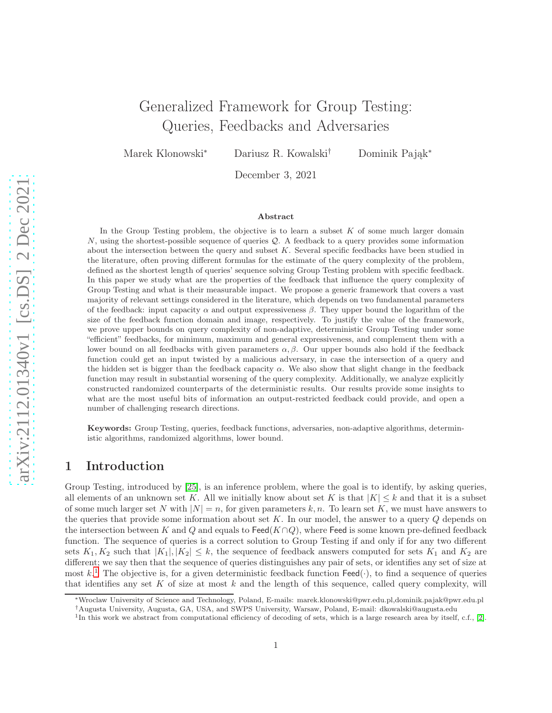# Generalized Framework for Group Testing: Queries, Feedbacks and Adversaries

Marek Klonowski<sup>∗</sup> Dariusz R. Kowalski† Dominik Pająk<sup>∗</sup>

December 3, 2021

#### Abstract

In the Group Testing problem, the objective is to learn a subset  $K$  of some much larger domain  $N$ , using the shortest-possible sequence of queries  $\mathcal{Q}$ . A feedback to a query provides some information about the intersection between the query and subset K. Several specific feedbacks have been studied in the literature, often proving different formulas for the estimate of the query complexity of the problem, defined as the shortest length of queries' sequence solving Group Testing problem with specific feedback. In this paper we study what are the properties of the feedback that influence the query complexity of Group Testing and what is their measurable impact. We propose a generic framework that covers a vast majority of relevant settings considered in the literature, which depends on two fundamental parameters of the feedback: input capacity  $\alpha$  and output expressiveness  $\beta$ . They upper bound the logarithm of the size of the feedback function domain and image, respectively. To justify the value of the framework, we prove upper bounds on query complexity of non-adaptive, deterministic Group Testing under some "efficient" feedbacks, for minimum, maximum and general expressiveness, and complement them with a lower bound on all feedbacks with given parameters  $\alpha$ , β. Our upper bounds also hold if the feedback function could get an input twisted by a malicious adversary, in case the intersection of a query and the hidden set is bigger than the feedback capacity  $\alpha$ . We also show that slight change in the feedback function may result in substantial worsening of the query complexity. Additionally, we analyze explicitly constructed randomized counterparts of the deterministic results. Our results provide some insights to what are the most useful bits of information an output-restricted feedback could provide, and open a number of challenging research directions.

Keywords: Group Testing, queries, feedback functions, adversaries, non-adaptive algorithms, deterministic algorithms, randomized algorithms, lower bound.

# 1 Introduction

Group Testing, introduced by [\[25\]](#page-20-0), is an inference problem, where the goal is to identify, by asking queries, all elements of an unknown set K. All we initially know about set K is that  $|K| \leq k$  and that it is a subset of some much larger set N with  $|N| = n$ , for given parameters k, n. To learn set K, we must have answers to the queries that provide some information about set  $K$ . In our model, the answer to a query  $Q$  depends on the intersection between K and Q and equals to Feed( $K \cap Q$ ), where Feed is some known pre-defined feedback function. The sequence of queries is a correct solution to Group Testing if and only if for any two different sets  $K_1, K_2$  such that  $|K_1|, |K_2| \leq k$ , the sequence of feedback answers computed for sets  $K_1$  and  $K_2$  are different; we say then that the sequence of queries distinguishes any pair of sets, or identifies any set of size at most  $k$ .<sup>[1](#page-0-0)</sup> The objective is, for a given deterministic feedback function  $\textsf{Feed}(\cdot)$ , to find a sequence of queries that identifies any set K of size at most  $k$  and the length of this sequence, called query complexity, will

<sup>∗</sup>Wroclaw University of Science and Technology, Poland, E-mails: marek.klonowski@pwr.edu.pl,dominik.pajak@pwr.edu.pl

<sup>†</sup>Augusta University, Augusta, GA, USA, and SWPS University, Warsaw, Poland, E-mail: dkowalski@augusta.edu

<span id="page-0-0"></span><sup>&</sup>lt;sup>1</sup>In this work we abstract from computational efficiency of decoding of sets, which is a large research area by itself, c.f., [\[2\]](#page-19-0).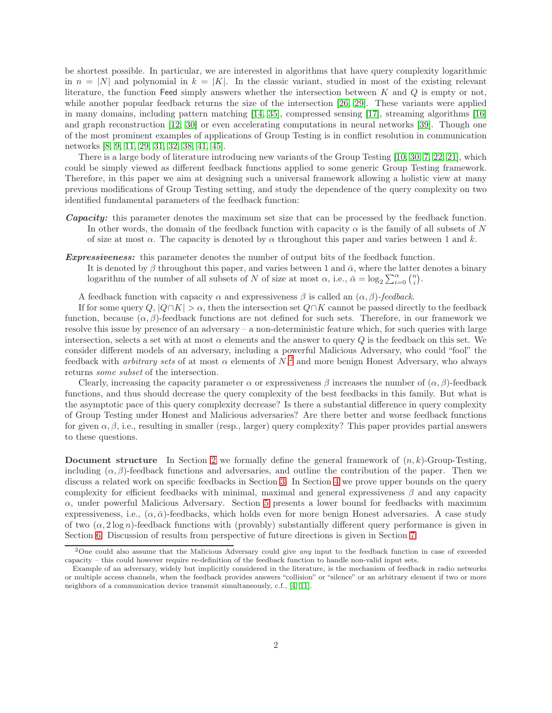be shortest possible. In particular, we are interested in algorithms that have query complexity logarithmic in  $n = |N|$  and polynomial in  $k = |K|$ . In the classic variant, studied in most of the existing relevant literature, the function Feed simply answers whether the intersection between K and  $Q$  is empty or not, while another popular feedback returns the size of the intersection [\[26,](#page-20-1) [29\]](#page-20-2). These variants were applied in many domains, including pattern matching [\[14,](#page-19-1) [35\]](#page-21-0), compressed sensing [\[17\]](#page-20-3), streaming algorithms [\[16\]](#page-19-2) and graph reconstruction [\[12,](#page-19-3) [30\]](#page-20-4) or even accelerating computations in neural networks [\[39\]](#page-21-1). Though one of the most prominent examples of applications of Group Testing is in conflict resolution in communication networks [\[8,](#page-19-4) [9,](#page-19-5) [11,](#page-19-6) [29,](#page-20-2) [31,](#page-20-5) [32,](#page-20-6) [38,](#page-21-2) [41,](#page-21-3) [45\]](#page-21-4).

There is a large body of literature introducing new variants of the Group Testing [\[10,](#page-19-7) [30,](#page-20-4) [7,](#page-19-8) [22,](#page-20-7) [21\]](#page-20-8), which could be simply viewed as different feedback functions applied to some generic Group Testing framework. Therefore, in this paper we aim at designing such a universal framework allowing a holistic view at many previous modifications of Group Testing setting, and study the dependence of the query complexity on two identified fundamental parameters of the feedback function:

- **Capacity:** this parameter denotes the maximum set size that can be processed by the feedback function. In other words, the domain of the feedback function with capacity  $\alpha$  is the family of all subsets of N of size at most  $\alpha$ . The capacity is denoted by  $\alpha$  throughout this paper and varies between 1 and k.
- **Expressiveness:** this parameter denotes the number of output bits of the feedback function.
	- It is denoted by  $\beta$  throughout this paper, and varies between 1 and  $\bar{\alpha}$ , where the latter denotes a binary logarithm of the number of all subsets of N of size at most  $\alpha$ , i.e.,  $\bar{\alpha} = \log_2 \sum_{i=0}^{\alpha} {n \choose i}$ .

A feedback function with capacity  $\alpha$  and expressiveness  $\beta$  is called an  $(\alpha, \beta)$ -feedback.

If for some query  $Q, |Q \cap K| > \alpha$ , then the intersection set  $Q \cap K$  cannot be passed directly to the feedback function, because  $(\alpha, \beta)$ -feedback functions are not defined for such sets. Therefore, in our framework we resolve this issue by presence of an adversary – a non-deterministic feature which, for such queries with large intersection, selects a set with at most  $\alpha$  elements and the answer to query Q is the feedback on this set. We consider different models of an adversary, including a powerful Malicious Adversary, who could "fool" the feedback with *arbitrary sets* of at most  $\alpha$  elements of  $N$ ,<sup>[2](#page-1-0)</sup> and more benign Honest Adversary, who always returns some subset of the intersection.

Clearly, increasing the capacity parameter  $\alpha$  or expressiveness  $\beta$  increases the number of  $(\alpha, \beta)$ -feedback functions, and thus should decrease the query complexity of the best feedbacks in this family. But what is the asymptotic pace of this query complexity decrease? Is there a substantial difference in query complexity of Group Testing under Honest and Malicious adversaries? Are there better and worse feedback functions for given  $\alpha, \beta$ , i.e., resulting in smaller (resp., larger) query complexity? This paper provides partial answers to these questions.

**Document structure** In Section [2](#page-2-0) we formally define the general framework of  $(n, k)$ -Group-Testing, including  $(\alpha, \beta)$ -feedback functions and adversaries, and outline the contribution of the paper. Then we discuss a related work on specific feedbacks in Section [3.](#page-6-0) In Section [4](#page-8-0) we prove upper bounds on the query complexity for efficient feedbacks with minimal, maximal and general expressiveness  $\beta$  and any capacity  $\alpha$ , under powerful Malicious Adversary. Section [5](#page-15-0) presents a lower bound for feedbacks with maximum expressiveness, i.e.,  $(\alpha, \bar{\alpha})$ -feedbacks, which holds even for more benign Honest adversaries. A case study of two  $(\alpha, 2 \log n)$ -feedback functions with (provably) substantially different query performance is given in Section [6.](#page-15-1) Discussion of results from perspective of future directions is given in Section [7.](#page-18-0)

<span id="page-1-0"></span><sup>&</sup>lt;sup>2</sup>One could also assume that the Malicious Adversary could give any input to the feedback function in case of exceeded capacity – this could however require re-definition of the feedback function to handle non-valid input sets.

Example of an adversary, widely but implicitly considered in the literature, is the mechanism of feedback in radio networks or multiple access channels, when the feedback provides answers "collision" or "silence" or an arbitrary element if two or more neighbors of a communication device transmit simultaneously, c.f., [\[4,](#page-19-9) [11\]](#page-19-6).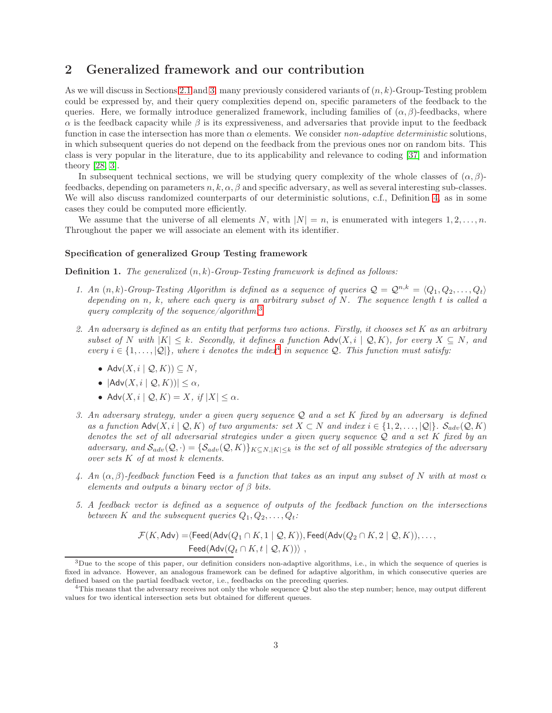# <span id="page-2-0"></span>2 Generalized framework and our contribution

As we will discuss in Sections [2.1](#page-4-0) and [3,](#page-6-0) many previously considered variants of  $(n, k)$ -Group-Testing problem could be expressed by, and their query complexities depend on, specific parameters of the feedback to the queries. Here, we formally introduce generalized framework, including families of  $(\alpha, \beta)$ -feedbacks, where  $\alpha$  is the feedback capacity while  $\beta$  is its expressiveness, and adversaries that provide input to the feedback function in case the intersection has more than  $\alpha$  elements. We consider non-adaptive deterministic solutions, in which subsequent queries do not depend on the feedback from the previous ones nor on random bits. This class is very popular in the literature, due to its applicability and relevance to coding [\[37\]](#page-21-5) and information theory [\[28,](#page-20-9) [3\]](#page-19-10).

In subsequent technical sections, we will be studying query complexity of the whole classes of  $(\alpha, \beta)$ feedbacks, depending on parameters  $n, k, \alpha, \beta$  and specific adversary, as well as several interesting sub-classes. We will also discuss randomized counterparts of our deterministic solutions, c.f., Definition [4,](#page-6-1) as in some cases they could be computed more efficiently.

We assume that the universe of all elements N, with  $|N| = n$ , is enumerated with integers  $1, 2, \ldots, n$ . Throughout the paper we will associate an element with its identifier.

#### Specification of generalized Group Testing framework

<span id="page-2-3"></span>**Definition 1.** The generalized  $(n, k)$ -Group-Testing framework is defined as follows:

- 1. An  $(n, k)$ -Group-Testing Algorithm is defined as a sequence of queries  $\mathcal{Q} = \mathcal{Q}^{n,k} = \langle Q_1, Q_2, \ldots, Q_t \rangle$ depending on n, k, where each query is an arbitrary subset of  $N$ . The sequence length  $t$  is called a query complexity of the sequence/algorithm.<sup>[3](#page-2-1)</sup>
- 2. An adversary is defined as an entity that performs two actions. Firstly, it chooses set K as an arbitrary subset of N with  $|K| \leq k$ . Secondly, it defines a function Adv $(X, i \mid \mathcal{Q}, K)$ , for every  $X \subseteq N$ , and every  $i \in \{1, \ldots, |\mathcal{Q}|\}$ , where i denotes the index<sup>[4](#page-2-2)</sup> in sequence  $\mathcal{Q}$ . This function must satisfy:
	- Adv $(X, i \mid \mathcal{Q}, K)$ )  $\subset N$ ,
	- $|Adv(X, i | \mathcal{Q}, K)| < \alpha$ ,
	- Adv $(X, i \mid \mathcal{Q}, K) = X$ , if  $|X| \leq \alpha$ .
- 3. An adversary strategy, under a given query sequence Q and a set K fixed by an adversary is defined as a function  $\mathsf{Adv}(X, i \mid \mathcal{Q}, K)$  of two arguments: set  $X \subset N$  and index  $i \in \{1, 2, \ldots, |\mathcal{Q}|\}$ .  $\mathcal{S}_{adv}(\mathcal{Q}, K)$ denotes the set of all adversarial strategies under a given query sequence  $\mathcal Q$  and a set K fixed by an adversary, and  $\mathcal{S}_{adv}(\mathcal{Q},\cdot) = \{\mathcal{S}_{adv}(\mathcal{Q},K)\}_{K\subset N,|K| is the set of all possible strategies of the adversary$ over sets K of at most k elements.
- 4. An  $(\alpha, \beta)$ -feedback function Feed is a function that takes as an input any subset of N with at most  $\alpha$ elements and outputs a binary vector of  $\beta$  bits.
- 5. A feedback vector is defined as a sequence of outputs of the feedback function on the intersections between K and the subsequent queries  $Q_1, Q_2, \ldots, Q_t$ :

$$
\mathcal{F}(K,\mathsf{Adv}) = \langle \mathsf{Feed}(\mathsf{Adv}(Q_1 \cap K, 1 \mid \mathcal{Q}, K)), \mathsf{Feed}(\mathsf{Adv}(Q_2 \cap K, 2 \mid \mathcal{Q}, K)), \ldots, \\ \mathsf{Feed}(\mathsf{Adv}(Q_t \cap K, t \mid \mathcal{Q}, K))) \rangle,
$$

<span id="page-2-1"></span> $3$ Due to the scope of this paper, our definition considers non-adaptive algorithms, i.e., in which the sequence of queries is fixed in advance. However, an analogous framework can be defined for adaptive algorithm, in which consecutive queries are defined based on the partial feedback vector, i.e., feedbacks on the preceding queries.

<span id="page-2-2"></span> $4$ This means that the adversary receives not only the whole sequence  $Q$  but also the step number; hence, may output different values for two identical intersection sets but obtained for different queues.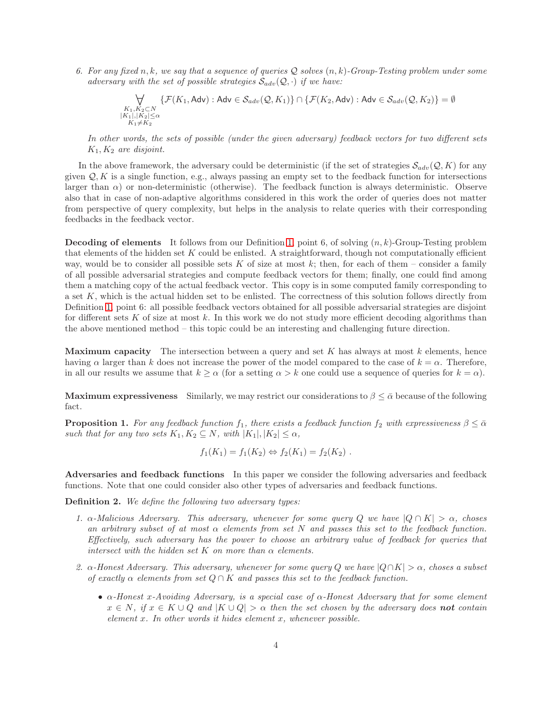6. For any fixed n, k, we say that a sequence of queries Q solves  $(n, k)$ -Group-Testing problem under some adversary with the set of possible strategies  $\mathcal{S}_{adv}(\mathcal{Q},\cdot)$  if we have:

$$
\bigvee_{\substack{K_1, K_2 \subset N \\ |K_1|, |K_2| \le \alpha \\ K_1 \neq K_2}} \{ \mathcal{F}(K_1, \text{Adv}) : \text{Adv} \in \mathcal{S}_{adv}(\mathcal{Q}, K_1) \} \cap \{ \mathcal{F}(K_2, \text{Adv}) : \text{Adv} \in \mathcal{S}_{adv}(\mathcal{Q}, K_2) \} = \emptyset
$$

In other words, the sets of possible (under the given adversary) feedback vectors for two different sets  $K_1, K_2$  are disjoint.

In the above framework, the adversary could be deterministic (if the set of strategies  $\mathcal{S}_{adv}(Q, K)$  for any given  $Q, K$  is a single function, e.g., always passing an empty set to the feedback function for intersections larger than  $\alpha$ ) or non-deterministic (otherwise). The feedback function is always deterministic. Observe also that in case of non-adaptive algorithms considered in this work the order of queries does not matter from perspective of query complexity, but helps in the analysis to relate queries with their corresponding feedbacks in the feedback vector.

**Decoding of elements** It follows from our Definition [1,](#page-2-3) point 6, of solving  $(n, k)$ -Group-Testing problem that elements of the hidden set  $K$  could be enlisted. A straightforward, though not computationally efficient way, would be to consider all possible sets K of size at most k; then, for each of them – consider a family of all possible adversarial strategies and compute feedback vectors for them; finally, one could find among them a matching copy of the actual feedback vector. This copy is in some computed family corresponding to a set K, which is the actual hidden set to be enlisted. The correctness of this solution follows directly from Definition [1,](#page-2-3) point 6: all possible feedback vectors obtained for all possible adversarial strategies are disjoint for different sets K of size at most k. In this work we do not study more efficient decoding algorithms than the above mentioned method – this topic could be an interesting and challenging future direction.

**Maximum capacity** The intersection between a query and set K has always at most  $k$  elements, hence having  $\alpha$  larger than k does not increase the power of the model compared to the case of  $k = \alpha$ . Therefore, in all our results we assume that  $k \ge \alpha$  (for a setting  $\alpha > k$  one could use a sequence of queries for  $k = \alpha$ ).

**Maximum expressiveness** Similarly, we may restrict our considerations to  $\beta \leq \bar{\alpha}$  because of the following fact.

<span id="page-3-1"></span>**Proposition 1.** For any feedback function f<sub>1</sub>, there exists a feedback function f<sub>2</sub> with expressiveness  $\beta \leq \bar{\alpha}$ such that for any two sets  $K_1, K_2 \subseteq N$ , with  $|K_1|, |K_2| \leq \alpha$ ,

$$
f_1(K_1) = f_1(K_2) \Leftrightarrow f_2(K_1) = f_2(K_2).
$$

Adversaries and feedback functions In this paper we consider the following adversaries and feedback functions. Note that one could consider also other types of adversaries and feedback functions.

<span id="page-3-0"></span>Definition 2. We define the following two adversary types:

- 1.  $\alpha$ -Malicious Adversary. This adversary, whenever for some query Q we have  $|Q \cap K| > \alpha$ , choses an arbitrary subset of at most  $\alpha$  elements from set N and passes this set to the feedback function. Effectively, such adversary has the power to choose an arbitrary value of feedback for queries that intersect with the hidden set K on more than  $\alpha$  elements.
- 2.  $\alpha$ -Honest Adversary. This adversary, whenever for some query Q we have  $|Q \cap K| > \alpha$ , choses a subset of exactly  $\alpha$  elements from set  $Q \cap K$  and passes this set to the feedback function.
	- $\alpha$ -Honest x-Avoiding Adversary, is a special case of  $\alpha$ -Honest Adversary that for some element  $x \in N$ , if  $x \in K \cup Q$  and  $|K \cup Q| > \alpha$  then the set chosen by the adversary does **not** contain element  $x$ . In other words it hides element  $x$ , whenever possible.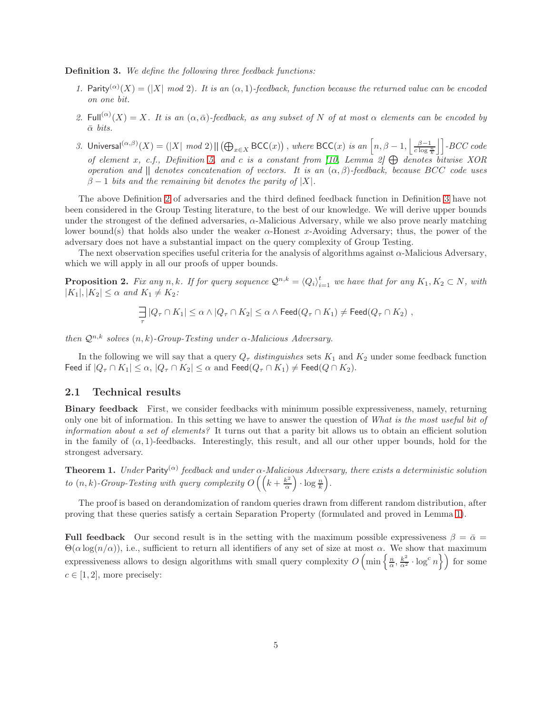<span id="page-4-1"></span>Definition 3. We define the following three feedback functions:

- 1. Parity<sup>( $\alpha$ </sup>)(X) = (|X| mod 2). It is an ( $\alpha$ , 1)-feedback, function because the returned value can be encoded on one bit.
- 2. Full<sup>( $\alpha$ </sup>)(X) = X. It is an ( $\alpha$ ,  $\bar{\alpha}$ )-feedback, as any subset of N of at most  $\alpha$  elements can be encoded by  $\bar{\alpha}$  bits.
- 3. Universal $(\alpha,\beta)(X) = (|X| \mod 2) || (\bigoplus_{x \in X} \mathsf{BCC}(x))$ , where  $\mathsf{BCC}(x)$  is an  $\left[ n, \beta 1, \left\lfloor \frac{\beta 1}{c \log \frac{n}{k}} \right\rfloor \right]$ -BCC code of element x, c.f., Definition [5,](#page-14-0) and c is a constant from [\[10,](#page-19-7) Lemma 2]  $\bigoplus$  denotes bitwise XOR operation and  $\parallel$  denotes concatenation of vectors. It is an  $(\alpha, \beta)$ -feedback, because BCC code uses  $\beta - 1$  bits and the remaining bit denotes the parity of |X|.

The above Definition [2](#page-3-0) of adversaries and the third defined feedback function in Definition [3](#page-4-1) have not been considered in the Group Testing literature, to the best of our knowledge. We will derive upper bounds under the strongest of the defined adversaries,  $\alpha$ -Malicious Adversary, while we also prove nearly matching lower bound(s) that holds also under the weaker  $\alpha$ -Honest x-Avoiding Adversary; thus, the power of the adversary does not have a substantial impact on the query complexity of Group Testing.

The next observation specifies useful criteria for the analysis of algorithms against  $\alpha$ -Malicious Adversary, which we will apply in all our proofs of upper bounds.

<span id="page-4-3"></span>**Proposition 2.** Fix any n,k. If for query sequence  $\mathcal{Q}^{n,k} = \langle Q_i \rangle_{i=1}^t$  we have that for any  $K_1, K_2 \subset N$ , with  $|K_1|, |K_2| \leq \alpha$  and  $K_1 \neq K_2$ :

$$
\frac{1}{\tau} |Q_{\tau} \cap K_1| \leq \alpha \wedge |Q_{\tau} \cap K_2| \leq \alpha \wedge \mathsf{Feed}(Q_{\tau} \cap K_1) \neq \mathsf{Feed}(Q_{\tau} \cap K_2),
$$

then  $\mathcal{Q}^{n,k}$  solves  $(n, k)$ -Group-Testing under  $\alpha$ -Malicious Adversary.

In the following we will say that a query  $Q_{\tau}$  distinguishes sets  $K_1$  and  $K_2$  under some feedback function Feed if  $|Q_\tau \cap K_1| \leq \alpha$ ,  $|Q_\tau \cap K_2| \leq \alpha$  and Feed $(Q_\tau \cap K_1) \neq \text{Feed}(Q \cap K_2)$ .

#### <span id="page-4-0"></span>2.1 Technical results

Binary feedback First, we consider feedbacks with minimum possible expressiveness, namely, returning only one bit of information. In this setting we have to answer the question of What is the most useful bit of information about a set of elements? It turns out that a parity bit allows us to obtain an efficient solution in the family of  $(\alpha, 1)$ -feedbacks. Interestingly, this result, and all our other upper bounds, hold for the strongest adversary.

<span id="page-4-2"></span>**Theorem 1.** Under Parity<sup>( $\alpha$ )</sup> feedback and under  $\alpha$ -Malicious Adversary, there exists a deterministic solution to  $(n, k)$ -Group-Testing with query complexity  $O\left(\left(k+\frac{k^2}{\alpha}\right)\right)$  $\frac{k^2}{\alpha}$ )  $\cdot \log \frac{n}{k}$ ).

The proof is based on derandomization of random queries drawn from different random distribution, after proving that these queries satisfy a certain Separation Property (formulated and proved in Lemma [1\)](#page-8-1).

Full feedback Our second result is in the setting with the maximum possible expressiveness  $\beta = \bar{\alpha}$  $\Theta(\alpha \log(n/\alpha))$ , i.e., sufficient to return all identifiers of any set of size at most  $\alpha$ . We show that maximum expressiveness allows to design algorithms with small query complexity  $O\left(\min\left\{\frac{n}{\alpha}, \frac{k^2}{\alpha^2} \cdot \log^c n\right\}\right)$  for some  $c \in [1, 2]$ , more precisely: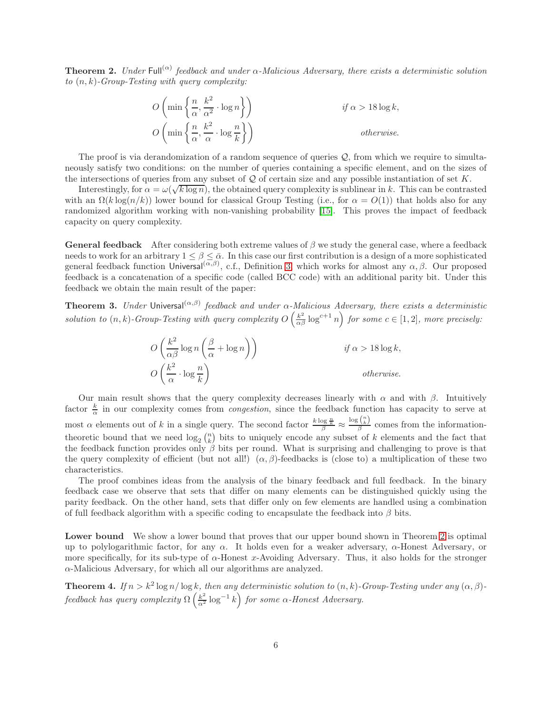<span id="page-5-0"></span>**Theorem 2.** Under Full<sup>( $\alpha$ )</sup> feedback and under  $\alpha$ -Malicious Adversary, there exists a deterministic solution to  $(n, k)$ -Group-Testing with query complexity:

$$
O\left(\min\left\{\frac{n}{\alpha}, \frac{k^2}{\alpha^2} \cdot \log n\right\}\right) \qquad \text{if } \alpha > 18 \log k,
$$
  

$$
O\left(\min\left\{\frac{n}{\alpha}, \frac{k^2}{\alpha} \cdot \log \frac{n}{k}\right\}\right) \qquad \text{otherwise.}
$$

The proof is via derandomization of a random sequence of queries  $Q$ , from which we require to simultaneously satisfy two conditions: on the number of queries containing a specific element, and on the sizes of the intersections of queries from any subset of  $Q$  of certain size and any possible instantiation of set  $K$ .

Interestingly, for  $\alpha = \omega(\sqrt{k \log n})$ , the obtained query complexity is sublinear in k. This can be contrasted with an  $\Omega(k \log(n/k))$  lower bound for classical Group Testing (i.e., for  $\alpha = O(1)$ ) that holds also for any randomized algorithm working with non-vanishing probability [\[15\]](#page-19-11). This proves the impact of feedback capacity on query complexity.

**General feedback** After considering both extreme values of  $\beta$  we study the general case, where a feedback needs to work for an arbitrary  $1 \leq \beta \leq \bar{\alpha}$ . In this case our first contribution is a design of a more sophisticated general feedback function Universal<sup>( $\alpha,\beta$ )</sup>, c.f., Definition [3,](#page-4-1) which works for almost any  $\alpha,\beta$ . Our proposed feedback is a concatenation of a specific code (called BCC code) with an additional parity bit. Under this feedback we obtain the main result of the paper:

<span id="page-5-2"></span>**Theorem 3.** Under Universal $(\alpha,\beta)$  feedback and under  $\alpha$ -Malicious Adversary, there exists a deterministic solution to  $(n, k)$ -Group-Testing with query complexity  $O\left(\frac{k^2}{\alpha\beta}\log^{c+1} n\right)$  for some  $c \in [1, 2]$ , more precisely:

$$
O\left(\frac{k^2}{\alpha \beta} \log n \left(\frac{\beta}{\alpha} + \log n\right)\right)
$$
if  $\alpha > 18 \log k$ ,  

$$
O\left(\frac{k^2}{\alpha} \cdot \log \frac{n}{k}\right)
$$
otherwise.

Our main result shows that the query complexity decreases linearly with  $\alpha$  and with  $\beta$ . Intuitively factor  $\frac{k}{\alpha}$  in our complexity comes from *congestion*, since the feedback function has capacity to serve at most  $\alpha$  elements out of k in a single query. The second factor  $\frac{k \log \frac{n}{k}}{\beta} \approx$  $\log\binom{n}{k}$  $\frac{\partial \langle k \rangle}{\partial \beta}$  comes from the informationtheoretic bound that we need  $\log_2 {n \choose k}$  bits to uniquely encode any subset of k elements and the fact that the feedback function provides only  $\beta$  bits per round. What is surprising and challenging to prove is that the query complexity of efficient (but not all!)  $(\alpha, \beta)$ -feedbacks is (close to) a multiplication of these two characteristics.

The proof combines ideas from the analysis of the binary feedback and full feedback. In the binary feedback case we observe that sets that differ on many elements can be distinguished quickly using the parity feedback. On the other hand, sets that differ only on few elements are handled using a combination of full feedback algorithm with a specific coding to encapsulate the feedback into  $\beta$  bits.

Lower bound We show a lower bound that proves that our upper bound shown in Theorem [2](#page-5-0) is optimal up to polylogarithmic factor, for any  $\alpha$ . It holds even for a weaker adversary,  $\alpha$ -Honest Adversary, or more specifically, for its sub-type of  $\alpha$ -Honest x-Avoiding Adversary. Thus, it also holds for the stronger α-Malicious Adversary, for which all our algorithms are analyzed.

<span id="page-5-1"></span>**Theorem 4.** If  $n > k^2 \log n / \log k$ , then any deterministic solution to  $(n, k)$ -Group-Testing under any  $(\alpha, \beta)$ feedback has query complexity  $\Omega\left(\frac{k^2}{\alpha^2}\log^{-1}k\right)$  for some  $\alpha$ -Honest Adversary.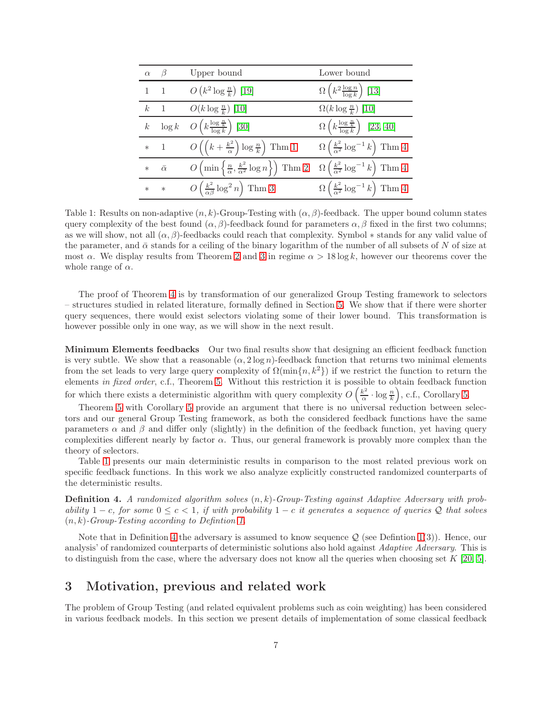| $\alpha$       | $\beta$        | Upper bound                                                                          | Lower bound                                                   |
|----------------|----------------|--------------------------------------------------------------------------------------|---------------------------------------------------------------|
|                | $1 \quad 1$    | $O(k^2 \log \frac{n}{k})$ [19]                                                       | $\Omega\left(k^2\frac{\log n}{\log k}\right)$ [13]            |
| $\mathcal{k}$  | $\blacksquare$ | $O(k \log \frac{n}{k})$ [10]                                                         | $\Omega(k \log \frac{n}{k})$ [10]                             |
| k <sub>i</sub> | $\log k$       | $O\left(k\frac{\log\frac{n}{k}}{\log k}\right)$ [30]                                 | $\Omega\left(k\frac{\log\frac{n}{k}}{\log k}\right)$ [23, 40] |
| $\ast$         | $\overline{1}$ | $O\left(\left(k+\frac{k^2}{\alpha}\right)\log\frac{n}{k}\right)$ Thm 1               | $\Omega\left(\frac{k^2}{\alpha^2}\log^{-1}k\right)$ Thm 4     |
| $\ast$         | $\bar{\alpha}$ | $O\left(\min\left\{\frac{n}{\alpha},\frac{k^2}{\alpha^2}\log n\right\}\right)$ Thm 2 | $\Omega\left(\frac{k^2}{\alpha^2}\log^{-1}k\right)$ Thm 4     |
| $\ast$         | $\ast$         | $O\left(\frac{k^2}{\alpha\beta}\log^2 n\right)$ Thm 3                                | $\Omega\left(\frac{k^2}{\alpha^2}\log^{-1}k\right)$ Thm 4     |

<span id="page-6-2"></span>Table 1: Results on non-adaptive  $(n, k)$ -Group-Testing with  $(\alpha, \beta)$ -feedback. The upper bound column states query complexity of the best found  $(\alpha, \beta)$ -feedback found for parameters  $\alpha, \beta$  fixed in the first two columns; as we will show, not all  $(\alpha, \beta)$ -feedbacks could reach that complexity. Symbol  $*$  stands for any valid value of the parameter, and  $\bar{\alpha}$  stands for a ceiling of the binary logarithm of the number of all subsets of N of size at most  $\alpha$ . We display results from Theorem [2](#page-5-0) and [3](#page-5-2) in regime  $\alpha > 18 \log k$ , however our theorems cover the whole range of  $\alpha$ .

The proof of Theorem [4](#page-5-1) is by transformation of our generalized Group Testing framework to selectors – structures studied in related literature, formally defined in Section [5.](#page-15-0) We show that if there were shorter query sequences, there would exist selectors violating some of their lower bound. This transformation is however possible only in one way, as we will show in the next result.

Minimum Elements feedbacks Our two final results show that designing an efficient feedback function is very subtle. We show that a reasonable  $(\alpha, 2 \log n)$ -feedback function that returns two minimal elements from the set leads to very large query complexity of  $\Omega(\min\{n,k^2\})$  if we restrict the function to return the elements in fixed order, c.f., Theorem [5.](#page-16-0) Without this restriction it is possible to obtain feedback function for which there exists a deterministic algorithm with query complexity  $O\left(\frac{k^2}{\alpha}\right)$  $\frac{k^2}{\alpha} \cdot \log \frac{n}{k}$ , c.f., Corollary [5.](#page-16-1)

Theorem [5](#page-16-0) with Corollary [5](#page-16-1) provide an argument that there is no universal reduction between selectors and our general Group Testing framework, as both the considered feedback functions have the same parameters  $\alpha$  and  $\beta$  and differ only (slightly) in the definition of the feedback function, yet having query complexities different nearly by factor  $\alpha$ . Thus, our general framework is provably more complex than the theory of selectors.

Table [1](#page-6-2) presents our main deterministic results in comparison to the most related previous work on specific feedback functions. In this work we also analyze explicitly constructed randomized counterparts of the deterministic results.

<span id="page-6-1"></span>**Definition 4.** A randomized algorithm solves  $(n, k)$ -Group-Testing against Adaptive Adversary with probability  $1 - c$ , for some  $0 \leq c < 1$ , if with probability  $1 - c$  it generates a sequence of queries Q that solves  $(n, k)$ -Group-Testing according to Definition [1.](#page-2-3)

Note that in Definition [4](#page-6-1) the adversary is assumed to know sequence  $Q$  (see Definition [1\(](#page-2-3)3)). Hence, our analysis' of randomized counterparts of deterministic solutions also hold against *Adaptive Adversary*. This is to distinguish from the case, where the adversary does not know all the queries when choosing set  $K$  [\[20,](#page-20-12) [5\]](#page-19-13).

## <span id="page-6-0"></span>3 Motivation, previous and related work

The problem of Group Testing (and related equivalent problems such as coin weighting) has been considered in various feedback models. In this section we present details of implementation of some classical feedback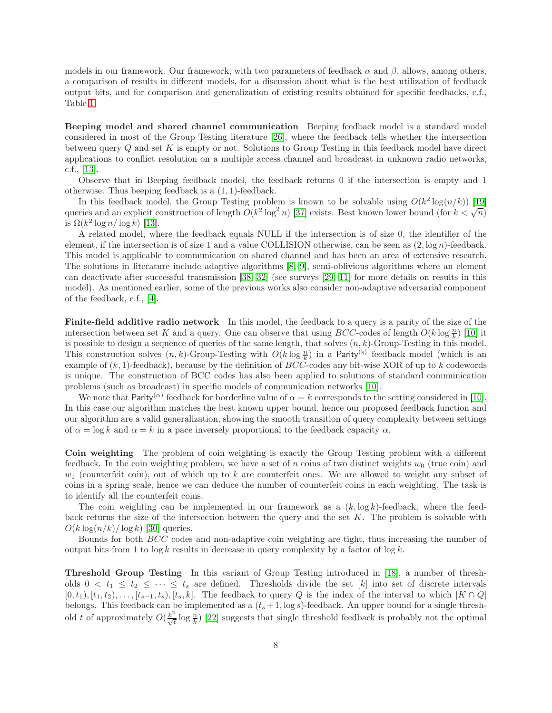models in our framework. Our framework, with two parameters of feedback  $\alpha$  and  $\beta$ , allows, among others, a comparison of results in different models, for a discussion about what is the best utilization of feedback output bits, and for comparison and generalization of existing results obtained for specific feedbacks, c.f., Table [1.](#page-6-2)

Beeping model and shared channel communication Beeping feedback model is a standard model considered in most of the Group Testing literature [\[26\]](#page-20-1), where the feedback tells whether the intersection between query Q and set K is empty or not. Solutions to Group Testing in this feedback model have direct applications to conflict resolution on a multiple access channel and broadcast in unknown radio networks, c.f., [\[13\]](#page-19-12).

Observe that in Beeping feedback model, the feedback returns 0 if the intersection is empty and 1 otherwise. Thus beeping feedback is a (1, 1)-feedback.

In this feedback model, the Group Testing problem is known to be solvable using  $O(k^2 \log(n/k))$  [\[19\]](#page-20-10) queries and an explicit construction of length  $O(k^2 \log^2 n)$  [\[37\]](#page-21-5) exists. Best known lower bound (for  $k < \sqrt{n}$ ) is  $\Omega(k^2 \log n / \log k)$  [\[13\]](#page-19-12).

A related model, where the feedback equals NULL if the intersection is of size 0, the identifier of the element, if the intersection is of size 1 and a value COLLISION otherwise, can be seen as  $(2, \log n)$ -feedback. This model is applicable to communication on shared channel and has been an area of extensive research. The solutions in literature include adaptive algorithms [\[8,](#page-19-4) [9\]](#page-19-5), semi-oblivious algorithms where an element can deactivate after successful transmission [\[38,](#page-21-2) [32\]](#page-20-6) (see surveys [\[29,](#page-20-2) [11\]](#page-19-6) for more details on results in this model). As mentioned earlier, some of the previous works also consider non-adaptive adversarial component of the feedback, c.f., [\[4\]](#page-19-9).

Finite-field additive radio network In this model, the feedback to a query is a parity of the size of the intersection between set K and a query. One can observe that using  $BCC$ -codes of length  $O(k \log \frac{n}{k})$  [\[10\]](#page-19-7) it is possible to design a sequence of queries of the same length, that solves  $(n, k)$ -Group-Testing in this model. This construction solves  $(n, k)$ -Group-Testing with  $O(k \log \frac{n}{k})$  in a Parity<sup>(k)</sup> feedback model (which is an example of  $(k, 1)$ -feedback), because by the definition of  $BCC$ -codes any bit-wise XOR of up to k codewords is unique. The construction of BCC codes has also been applied to solutions of standard communication problems (such as broadcast) in specific models of communication networks [\[10\]](#page-19-7).

We note that Parity<sup>( $\alpha$ )</sup> feedback for borderline value of  $\alpha = k$  corresponds to the setting considered in [\[10\]](#page-19-7). In this case our algorithm matches the best known upper bound, hence our proposed feedback function and our algorithm are a valid generalization, showing the smooth transition of query complexity between settings of  $\alpha = \log k$  and  $\alpha = k$  in a pace inversely proportional to the feedback capacity  $\alpha$ .

Coin weighting The problem of coin weighting is exactly the Group Testing problem with a different feedback. In the coin weighting problem, we have a set of n coins of two distinct weights  $w_0$  (true coin) and  $w_1$  (counterfeit coin), out of which up to k are counterfeit ones. We are allowed to weight any subset of coins in a spring scale, hence we can deduce the number of counterfeit coins in each weighting. The task is to identify all the counterfeit coins.

The coin weighting can be implemented in our framework as a  $(k, \log k)$ -feedback, where the feedback returns the size of the intersection between the query and the set  $K$ . The problem is solvable with  $O(k \log(n/k) / \log k)$  [\[30\]](#page-20-4) queries.

Bounds for both BCC codes and non-adaptive coin weighting are tight, thus increasing the number of output bits from 1 to  $\log k$  results in decrease in query complexity by a factor of  $\log k$ .

Threshold Group Testing In this variant of Group Testing introduced in [\[18\]](#page-20-13), a number of thresholds  $0 < t_1 \leq t_2 \leq \cdots \leq t_s$  are defined. Thresholds divide the set [k] into set of discrete intervals  $[0, t_1), [t_1, t_2), \ldots, [t_{s-1}, t_s), [t_s, k]$ . The feedback to query Q is the index of the interval to which  $|K \cap Q|$ belongs. This feedback can be implemented as a  $(t_s + 1, \log s)$ -feedback. An upper bound for a single threshold t of approximately  $O(\frac{k^2}{\sqrt{t}}\log\frac{n}{k})$  [\[22\]](#page-20-7) suggests that single threshold feedback is probably not the optimal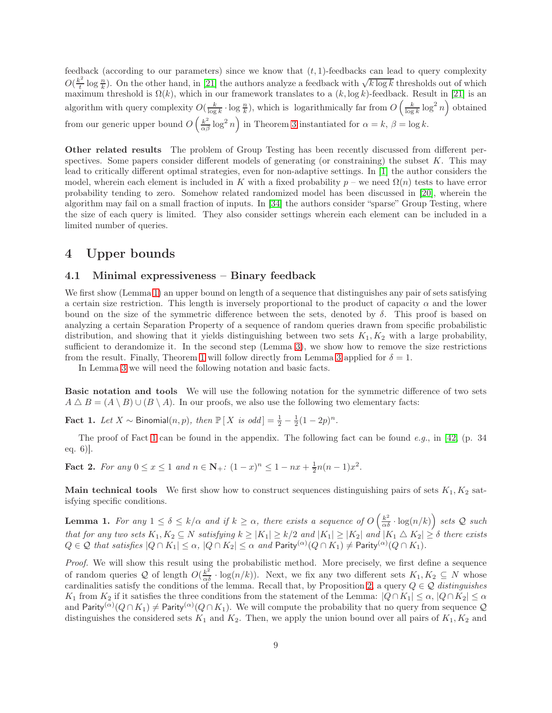feedback (according to our parameters) since we know that  $(t, 1)$ -feedbacks can lead to query complexity  $O(\frac{k^2}{l})$  $\frac{k^2}{k}$  log  $\frac{n}{k}$ ). On the other hand, in [\[21\]](#page-20-8) the authors analyze a feedback with  $\sqrt{k \log k}$  thresholds out of which maximum threshold is  $\Omega(k)$ , which in our framework translates to a  $(k, \log k)$ -feedback. Result in [\[21\]](#page-20-8) is an algorithm with query complexity  $O(\frac{k}{\log k} \cdot \log \frac{n}{k})$ , which is logarithmically far from  $O\left(\frac{k}{\log k} \log^2 n\right)$  obtained from our generic upper bound  $O\left(\frac{k^2}{\alpha \beta} \log^2 n\right)$  in Theorem [3](#page-5-2) instantiated for  $\alpha = k, \beta = \log k$ .

Other related results The problem of Group Testing has been recently discussed from different perspectives. Some papers consider different models of generating (or constraining) the subset  $K$ . This may lead to critically different optimal strategies, even for non-adaptive settings. In [\[1\]](#page-19-14) the author considers the model, wherein each element is included in K with a fixed probability  $p$  – we need  $\Omega(n)$  tests to have error probability tending to zero. Somehow related randomized model has been discussed in [\[20\]](#page-20-12), wherein the algorithm may fail on a small fraction of inputs. In [\[34\]](#page-21-7) the authors consider "sparse" Group Testing, where the size of each query is limited. They also consider settings wherein each element can be included in a limited number of queries.

### <span id="page-8-0"></span>4 Upper bounds

#### <span id="page-8-4"></span>4.1 Minimal expressiveness – Binary feedback

We first show (Lemma [1\)](#page-8-1) an upper bound on length of a sequence that distinguishes any pair of sets satisfying a certain size restriction. This length is inversely proportional to the product of capacity  $\alpha$  and the lower bound on the size of the symmetric difference between the sets, denoted by  $\delta$ . This proof is based on analyzing a certain Separation Property of a sequence of random queries drawn from specific probabilistic distribution, and showing that it yields distinguishing between two sets  $K_1, K_2$  with a large probability, sufficient to derandomize it. In the second step (Lemma [3\)](#page-11-0), we show how to remove the size restrictions from the result. Finally, Theorem [1](#page-4-2) will follow directly from Lemma [3](#page-11-0) applied for  $\delta = 1$ .

In Lemma [3](#page-11-0) we will need the following notation and basic facts.

Basic notation and tools We will use the following notation for the symmetric difference of two sets  $A \triangle B = (A \setminus B) \cup (B \setminus A)$ . In our proofs, we also use the following two elementary facts:

<span id="page-8-2"></span>Fact 1. Let  $X \sim \text{Binomial}(n, p)$ , then  $\mathbb{P}[X \text{ is odd}] = \frac{1}{2} - \frac{1}{2}(1 - 2p)^n$ .

The proof of Fact [1](#page-8-2) can be found in the appendix. The following fact can be found e.g., in [\[42,](#page-21-8) (p. 34]) eq. 6)].

<span id="page-8-3"></span>**Fact 2.** For any  $0 \le x \le 1$  and  $n \in \mathbb{N}_+$ :  $(1-x)^n \le 1 - nx + \frac{1}{2}n(n-1)x^2$ .

Main technical tools We first show how to construct sequences distinguishing pairs of sets  $K_1, K_2$  satisfying specific conditions.

<span id="page-8-1"></span>**Lemma 1.** For any  $1 \le \delta \le k/\alpha$  and if  $k \ge \alpha$ , there exists a sequence of  $O\left(\frac{k^2}{\alpha \delta} \cdot \log(n/k)\right)$  sets Q such that for any two sets  $K_1, K_2 \subseteq N$  satisfying  $k \ge |K_1| \ge k/2$  and  $|K_1| \ge |K_2|$  and  $|K_1 \triangle K_2| \ge \delta$  there exists  $Q \in \mathcal{Q}$  that satisfies  $|Q \cap K_1| \leq \alpha$ ,  $|Q \cap K_2| \leq \alpha$  and  $\mathsf{Parity}^{(\alpha)}(Q \cap K_1) \neq \mathsf{Parity}^{(\alpha)}(Q \cap K_1)$ .

Proof. We will show this result using the probabilistic method. More precisely, we first define a sequence of random queries Q of length  $O(\frac{k^2}{\alpha \delta} \cdot \log(n/k))$ . Next, we fix any two different sets  $K_1, K_2 \subseteq N$  whose cardinalities satisfy the conditions of the lemma. Recall that, by Proposition [2,](#page-4-3) a query  $Q \in \mathcal{Q}$  distinguishes K<sub>1</sub> from K<sub>2</sub> if it satisfies the three conditions from the statement of the Lemma:  $|Q \cap K_1| \leq \alpha$ ,  $|Q \cap K_2| \leq \alpha$ and  $\text{Parity}^{(\alpha)}(Q \cap K_1) \neq \text{Parity}^{(\alpha)}(Q \cap K_1)$ . We will compute the probability that no query from sequence Q distinguishes the considered sets  $K_1$  and  $K_2$ . Then, we apply the union bound over all pairs of  $K_1, K_2$  and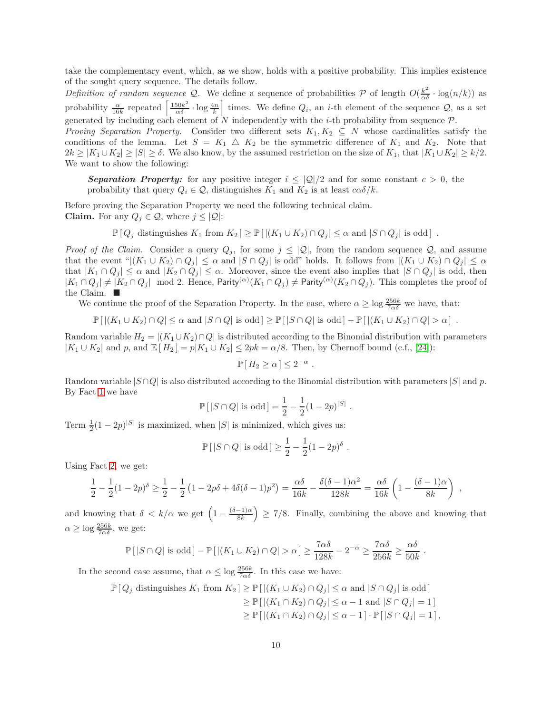take the complementary event, which, as we show, holds with a positive probability. This implies existence of the sought query sequence. The details follow.

Definition of random sequence Q. We define a sequence of probabilities P of length  $O(\frac{k^2}{\alpha \delta} \cdot \log(n/k))$  as probability  $\frac{\alpha}{16k}$  repeated  $\left[\frac{150k^2}{\alpha \delta} \cdot \log \frac{4n}{k}\right]$  times. We define  $Q_i$ , an *i*-th element of the sequence  $Q$ , as a set generated by including each element of N independently with the *i*-th probability from sequence  $\mathcal{P}$ . *Proving Separation Property.* Consider two different sets  $K_1, K_2 \subseteq N$  whose cardinalities satisfy the conditions of the lemma. Let  $S = K_1 \triangle K_2$  be the symmetric difference of  $K_1$  and  $K_2$ . Note that  $2k \ge |K_1 \cup K_2| \ge |S| \ge \delta$ . We also know, by the assumed restriction on the size of  $K_1$ , that  $|K_1 \cup K_2| \ge k/2$ .

We want to show the following:

**Separation Property:** for any positive integer  $i \leq |\mathcal{Q}|/2$  and for some constant  $c > 0$ , the probability that query  $Q_i \in \mathcal{Q}$ , distinguishes  $K_1$  and  $K_2$  is at least  $c\alpha\delta/k$ .

Before proving the Separation Property we need the following technical claim. **Claim.** For any  $Q_j \in \mathcal{Q}$ , where  $j \leq |\mathcal{Q}|$ :

 $\mathbb{P}[Q_i]$  distinguishes  $K_1$  from  $K_2$   $\geq \mathbb{P}[|(K_1 \cup K_2) \cap Q_i| \leq \alpha$  and  $|S \cap Q_i|$  is odd  $|$ .

Proof of the Claim. Consider a query  $Q_j$ , for some  $j \leq |Q|$ , from the random sequence  $Q$ , and assume that the event " $|(K_1 \cup K_2) \cap Q_j| \leq \alpha$  and  $|S \cap Q_j|$  is odd" holds. It follows from  $|(K_1 \cup K_2) \cap Q_j| \leq \alpha$ that  $|K_1 \cap Q_j| \leq \alpha$  and  $|K_2 \cap Q_j| \leq \alpha$ . Moreover, since the event also implies that  $|S \cap Q_j|$  is odd, then  $|K_1 \cap Q_j| \neq |K_2 \cap Q_j|$  mod 2. Hence, Parity<sup>( $\alpha$ </sup>)( $K_1 \cap Q_j$ )  $\neq$  Parity<sup>( $\alpha$ </sup>)( $K_2 \cap Q_j$ ). This completes the proof of the Claim.  $\blacksquare$ 

We continue the proof of the Separation Property. In the case, where  $\alpha \ge \log \frac{256k}{7\alpha\delta}$  we have, that:

$$
\mathbb{P}\left[\left|\left(K_1\cup K_2\right)\cap Q\right|\leq \alpha \text{ and } |S\cap Q| \text{ is odd}\right] \geq \mathbb{P}\left[\left|S\cap Q\right| \text{ is odd}\right] - \mathbb{P}\left[\left|\left(K_1\cup K_2\right)\cap Q\right| > \alpha\right] .
$$

Random variable  $H_2 = |(K_1 \cup K_2) \cap Q|$  is distributed according to the Binomial distribution with parameters  $|K_1 \cup K_2|$  and p, and  $\mathbb{E}[H_2] = p|K_1 \cup K_2| \leq 2pk = \alpha/8$ . Then, by Chernoff bound (c.f., [\[24\]](#page-20-14)):

$$
\mathbb{P}[H_2 \ge \alpha] \le 2^{-\alpha}.
$$

Random variable  $|S \cap Q|$  is also distributed according to the Binomial distribution with parameters  $|S|$  and p. By Fact [1](#page-8-2) we have

$$
\mathbb{P}[|S \cap Q| \text{ is odd}] = \frac{1}{2} - \frac{1}{2}(1 - 2p)^{|S|}
$$

.

Term  $\frac{1}{2}(1-2p)^{|S|}$  is maximized, when  $|S|$  is minimized, which gives us:

$$
\mathbb{P}\left[|S \cap Q| \text{ is odd}\right] \ge \frac{1}{2} - \frac{1}{2}(1 - 2p)^{\delta}.
$$

Using Fact [2,](#page-8-3) we get:

$$
\frac{1}{2} - \frac{1}{2}(1 - 2p)^{\delta} \ge \frac{1}{2} - \frac{1}{2}(1 - 2p\delta + 4\delta(\delta - 1)p^2) = \frac{\alpha\delta}{16k} - \frac{\delta(\delta - 1)\alpha^2}{128k} = \frac{\alpha\delta}{16k}\left(1 - \frac{(\delta - 1)\alpha}{8k}\right) ,
$$

and knowing that  $\delta < k/\alpha$  we get  $\left(1 - \frac{(\delta - 1)\alpha}{8k}\right) \geq 7/8$ . Finally, combining the above and knowing that  $\alpha \geq \log \frac{256k}{7\alpha\delta}$ , we get:

$$
\mathbb{P}\left[ |S \cap Q| \text{ is odd} \right] - \mathbb{P}\left[ |(K_1 \cup K_2) \cap Q| > \alpha \right] \ge \frac{7\alpha\delta}{128k} - 2^{-\alpha} \ge \frac{7\alpha\delta}{256k} \ge \frac{\alpha\delta}{50k}.
$$

In the second case assume, that  $\alpha \leq \log \frac{256k}{7\alpha \delta}$ . In this case we have:

$$
\mathbb{P}[Q_j \text{ distinguishes } K_1 \text{ from } K_2] \ge \mathbb{P}[|(K_1 \cup K_2) \cap Q_j| \le \alpha \text{ and } |S \cap Q_j| \text{ is odd}]
$$
  
\n
$$
\ge \mathbb{P}[|(K_1 \cap K_2) \cap Q_j| \le \alpha - 1 \text{ and } |S \cap Q_j| = 1]
$$
  
\n
$$
\ge \mathbb{P}[|(K_1 \cap K_2) \cap Q_j| \le \alpha - 1] \cdot \mathbb{P}[|S \cap Q_j| = 1],
$$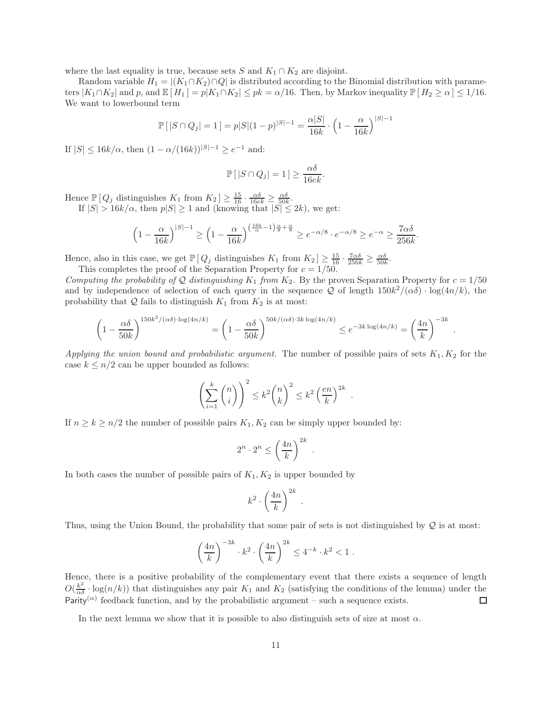where the last equality is true, because sets S and  $K_1 \cap K_2$  are disjoint.

Random variable  $H_1 = |(K_1 \cap K_2) \cap Q|$  is distributed according to the Binomial distribution with parameters  $|K_1 \cap K_2|$  and p, and  $\mathbb{E}[H_1] = p|K_1 \cap K_2| \leq pk = \alpha/16$ . Then, by Markov inequality  $\mathbb{P}[H_2 \geq \alpha] \leq 1/16$ . We want to lowerbound term

$$
\mathbb{P}\left[|S \cap Q_j| = 1\right] = p|S|(1-p)^{|S|-1} = \frac{\alpha|S|}{16k} \cdot \left(1 - \frac{\alpha}{16k}\right)^{|S|-1}
$$

If  $|S| \le 16k/\alpha$ , then  $(1 - \alpha/(16k))|S| - 1 \ge e^{-1}$  and:

$$
\mathbb{P}\left[|S \cap Q_j| = 1\right] \ge \frac{\alpha \delta}{16ek}.
$$

Hence  $\mathbb{P}[Q_j \text{ distinguishes } K_1 \text{ from } K_2] \geq \frac{15}{16} \cdot \frac{\alpha \delta}{16ek} \geq \frac{\alpha \delta}{50k}.$ 

If  $|S| > 16k/\alpha$ , then  $p|S| \ge 1$  and (knowing that  $|S| \le 2k$ ), we get:

$$
\left(1 - \frac{\alpha}{16k}\right)^{|S|-1} \ge \left(1 - \frac{\alpha}{16k}\right)^{\left(\frac{16k}{\alpha} - 1\right)\frac{\alpha}{8} + \frac{\alpha}{8}} \ge e^{-\alpha/8} \cdot e^{-\alpha/8} \ge e^{-\alpha} \ge \frac{7\alpha\delta}{256k}.
$$

Hence, also in this case, we get  $\mathbb{P}\left[Q_j \text{ distinguishes } K_1 \text{ from } K_2\right] \geq \frac{15}{16} \cdot \frac{7\alpha\delta}{256k} \geq \frac{\alpha\delta}{50k}$ . This completes the proof of the Separation Property for  $c = 1/50$ .

Computing the probability of Q distinguishing  $K_1$  from  $K_2$ . By the proven Separation Property for  $c = 1/50$ and by independence of selection of each query in the sequence  $Q$  of length  $150k^2/(\alpha\delta) \cdot \log(4n/k)$ , the probability that  $Q$  fails to distinguish  $K_1$  from  $K_2$  is at most:

$$
\left(1 - \frac{\alpha \delta}{50k}\right)^{150k^2/(\alpha \delta) \cdot \log(4n/k)} = \left(1 - \frac{\alpha \delta}{50k}\right)^{50k/(\alpha \delta) \cdot 3k \log(4n/k)} \le e^{-3k \log(4n/k)} = \left(\frac{4n}{k}\right)^{-3k}.
$$

Applying the union bound and probabilistic argument. The number of possible pairs of sets  $K_1, K_2$  for the case  $k \leq n/2$  can be upper bounded as follows:

$$
\left(\sum_{i=1}^k \binom{n}{i}\right)^2 \le k^2 \binom{n}{k}^2 \le k^2 \left(\frac{en}{k}\right)^{2k}.
$$

If  $n \geq k \geq n/2$  the number of possible pairs  $K_1, K_2$  can be simply upper bounded by:

$$
2^n \cdot 2^n \le \left(\frac{4n}{k}\right)^{2k} .
$$

In both cases the number of possible pairs of  $K_1, K_2$  is upper bounded by

$$
k^2 \cdot \left(\frac{4n}{k}\right)^{2k} .
$$

Thus, using the Union Bound, the probability that some pair of sets is not distinguished by  $\mathcal Q$  is at most:

$$
\left(\frac{4n}{k}\right)^{-3k} \cdot k^2 \cdot \left(\frac{4n}{k}\right)^{2k} \le 4^{-k} \cdot k^2 < 1.
$$

Hence, there is a positive probability of the complementary event that there exists a sequence of length  $O(\frac{k^2}{\alpha \delta} \cdot \log(n/k))$  that distinguishes any pair  $K_1$  and  $K_2$  (satisfying the conditions of the lemma) under the Parity<sup>( $\alpha$ )</sup> feedback function, and by the probabilistic argument – such a sequence exists. □

In the next lemma we show that it is possible to also distinguish sets of size at most  $\alpha$ .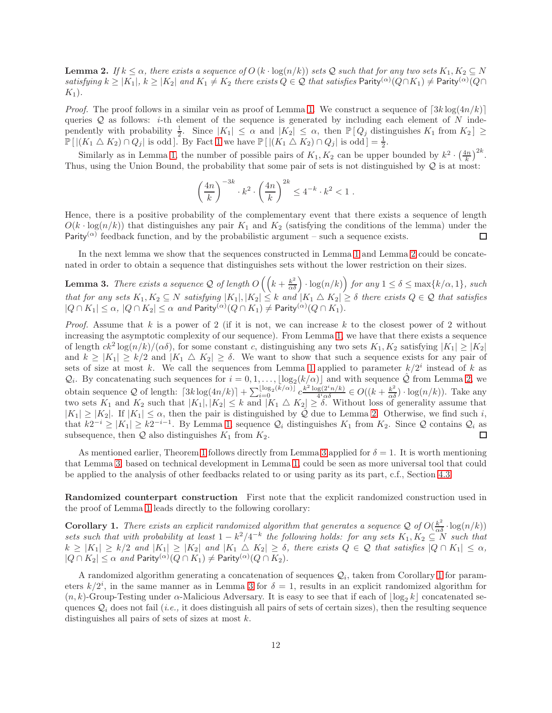<span id="page-11-1"></span>**Lemma 2.** If  $k \leq \alpha$ , there exists a sequence of  $O(k \cdot \log(n/k))$  sets Q such that for any two sets  $K_1, K_2 \subseteq N$ satisfying  $k \ge |K_1|$ ,  $k \ge |K_2|$  and  $K_1 \ne K_2$  there exists  $Q \in \mathcal{Q}$  that satisfies Parity<sup>( $\alpha$ </sup>)( $Q \cap K_1$ )  $\ne$  Parity<sup>( $\alpha$ </sup>)( $Q \cap K_2$ )  $K_1$ ).

*Proof.* The proof follows in a similar vein as proof of Lemma [1.](#page-8-1) We construct a sequence of  $\lceil 3k \log(4n/k) \rceil$ queries  $Q$  as follows: *i*-th element of the sequence is generated by including each element of N independently with probability  $\frac{1}{2}$ . Since  $|K_1| \leq \alpha$  and  $|K_2| \leq \alpha$ , then  $\mathbb{P}[Q_j]$  distinguishes  $K_1$  from  $K_2$   $\geq$  $\mathbb{P}\left[\left|\left(K_1 \triangle K_2\right) \cap Q_j\right| \text{ is odd}\right]$ . By Fact [1](#page-8-2) we have  $\mathbb{P}\left[\left|\left(K_1 \triangle K_2\right) \cap Q_j\right| \text{ is odd}\right] = \frac{1}{2}$ .

Similarly as in Lemma [1,](#page-8-1) the number of possible pairs of  $K_1, K_2$  can be upper bounded by  $k^2 \cdot \left(\frac{4n}{k}\right)^{2k}$ . Thus, using the Union Bound, the probability that some pair of sets is not distinguished by  $\mathcal{Q}$  is at most:

$$
\left(\frac{4n}{k}\right)^{-3k} \cdot k^2 \cdot \left(\frac{4n}{k}\right)^{2k} \le 4^{-k} \cdot k^2 < 1.
$$

Hence, there is a positive probability of the complementary event that there exists a sequence of length  $O(k \cdot \log(n/k))$  that distinguishes any pair  $K_1$  and  $K_2$  (satisfying the conditions of the lemma) under the Parity<sup>( $\alpha$ )</sup> feedback function, and by the probabilistic argument – such a sequence exists. Parity<sup>( $\alpha$ )</sup> feedback function, and by the probabilistic argument – such a sequence exists.

In the next lemma we show that the sequences constructed in Lemma [1](#page-8-1) and Lemma [2](#page-11-1) could be concatenated in order to obtain a sequence that distinguishes sets without the lower restriction on their sizes.

<span id="page-11-0"></span>**Lemma 3.** There exists a sequence Q of length  $O\left(\left(k + \frac{k^2}{\alpha \delta}\right) \cdot \log(n/k)\right)$  for any  $1 \le \delta \le \max\{k/\alpha, 1\}$ , such that for any sets  $K_1, K_2 \subseteq N$  satisfying  $|K_1|, |K_2| \leq k$  and  $|K_1 \bigtriangleup K_2| \geq \delta$  there exists  $Q \in \mathcal{Q}$  that satisfies  $|Q \cap K_1| \leq \alpha, |Q \cap K_2| \leq \alpha \text{ and Parity}^{(\alpha)}(Q \cap K_1) \neq \mathsf{Parity}^{(\alpha)}(Q \cap K_1).$ 

*Proof.* Assume that k is a power of 2 (if it is not, we can increase k to the closest power of 2 without increasing the asymptotic complexity of our sequence). From Lemma [1,](#page-8-1) we have that there exists a sequence of length  $ck^2 \log(n/k)/(\alpha \delta)$ , for some constant c, distinguishing any two sets  $K_1, K_2$  satisfying  $|K_1| \ge |K_2|$ and  $k \geq |K_1| \geq k/2$  and  $|K_1 \bigtriangleup K_2| \geq \delta$ . We want to show that such a sequence exists for any pair of sets of size at most k. We call the sequences from Lemma [1](#page-8-1) applied to parameter  $k/2<sup>i</sup>$  instead of k as  $\mathcal{Q}_i$ . By concatenating such sequences for  $i = 0, 1, \ldots, \lfloor \log_2(k/\alpha) \rfloor$  and with sequence  $\hat{\mathcal{Q}}$  from Lemma [2,](#page-11-1) we obtain sequence Q of length:  $\lceil 3k \log(4n/k) \rceil + \sum_{i=0}^{\lfloor \log_2(\tilde{k}/\alpha) \rfloor} c^{\frac{k^2 \log(2^i n/k)}{4^i \alpha \delta}}$  $\frac{g(2^i n/k)}{4^i \alpha \delta} \in O((k + \frac{k^2}{\alpha \delta}) \cdot \log(n/k)).$  Take any two sets  $K_1$  and  $K_2$  such that  $|K_1|, |K_2| \leq k$  and  $|K_1 \triangle K_2| \geq \delta$ . Without loss of generality assume that  $|K_1| \geq |K_2|$ . If  $|K_1| \leq \alpha$ , then the pair is distinguished by  $\hat{Q}$  due to Lemma [2.](#page-11-1) Otherwise, we find such i, that  $k2^{-i} \ge |K_1| \ge k2^{-i-1}$ . By Lemma [1,](#page-8-1) sequence  $\mathcal{Q}_i$  distinguishes  $K_1$  from  $K_2$ . Since  $\mathcal{Q}$  contains  $\mathcal{Q}_i$  as subsequence, then  $Q$  also distinguishes  $K_1$  from  $K_2$ .

As mentioned earlier, Theorem [1](#page-4-2) follows directly from Lemma [3](#page-11-0) applied for  $\delta = 1$ . It is worth mentioning that Lemma [3,](#page-11-0) based on technical development in Lemma [1,](#page-8-1) could be seen as more universal tool that could be applied to the analysis of other feedbacks related to or using parity as its part, c.f., Section [4.3.](#page-14-1)

Randomized counterpart construction First note that the explicit randomized construction used in the proof of Lemma [1](#page-8-1) leads directly to the following corollary:

<span id="page-11-2"></span>**Corollary 1.** There exists an explicit randomized algorithm that generates a sequence  $Q$  of  $O(\frac{k^2}{\alpha \delta} \cdot \log(n/k))$ sets such that with probability at least  $1 - k^2/4^{-k}$  the following holds: for any sets  $K_1, K_2 \subseteq N$  such that  $k \geq |K_1| \geq k/2$  and  $|K_1| \geq |K_2|$  and  $|K_1 \bigtriangleup K_2| \geq \delta$ , there exists  $Q \in \mathcal{Q}$  that satisfies  $|Q \cap K_1| \leq \alpha$ ,  $|Q \cap K_2| \leq \alpha$  and Parity ${^{(\alpha)}}(Q \cap K_1) \neq$  Parity ${^{(\alpha)}}(Q \cap K_2)$ .

A randomized algorithm generating a concatenation of sequences  $\mathcal{Q}_i$ , taken from Corollary [1](#page-11-2) for parameters  $k/2^i$ , in the same manner as in Lemma [3](#page-11-0) for  $\delta = 1$ , results in an explicit randomized algorithm for  $(n, k)$ -Group-Testing under  $\alpha$ -Malicious Adversary. It is easy to see that if each of  $|\log_2 k|$  concatenated sequences  $\mathcal{Q}_i$  does not fail (*i.e.*, it does distinguish all pairs of sets of certain sizes), then the resulting sequence distinguishes all pairs of sets of sizes at most  $k$ .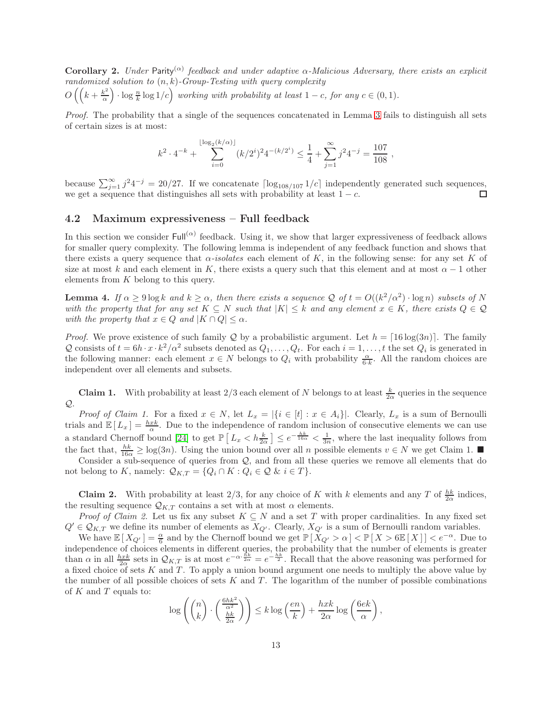<span id="page-12-1"></span>**Corollary 2.** Under Parity<sup>( $\alpha$ )</sup> feedback and under adaptive  $\alpha$ -Malicious Adversary, there exists an explicit randomized solution to  $(n, k)$ -Group-Testing with query complexity  $O\left(\left(k+\frac{k^2}{\alpha}\right)\right)$  $\left(\frac{k^2}{\alpha}\right) \cdot \log \frac{n}{k} \log 1/c$  working with probability at least  $1 - c$ , for any  $c \in (0, 1)$ .

Proof. The probability that a single of the sequences concatenated in Lemma [3](#page-11-0) fails to distinguish all sets of certain sizes is at most:

$$
k^2 \cdot 4^{-k} + \sum_{i=0}^{\lfloor \log_2(k/\alpha) \rfloor} (k/2^i)^2 4^{-(k/2^i)} \le \frac{1}{4} + \sum_{j=1}^{\infty} j^2 4^{-j} = \frac{107}{108},
$$

because  $\sum_{j=1}^{\infty} j^2 4^{-j} = 20/27$ . If we concatenate  $\lceil \log_{108/107} 1/c \rceil$  independently generated such sequences, we get a sequence that distinguishes all sets with probability at least  $1 - c$ .

#### 4.2 Maximum expressiveness – Full feedback

In this section we consider  $\text{Full}^{(\alpha)}$  feedback. Using it, we show that larger expressiveness of feedback allows for smaller query complexity. The following lemma is independent of any feedback function and shows that there exists a query sequence that  $\alpha$ -isolates each element of K, in the following sense: for any set K of size at most k and each element in K, there exists a query such that this element and at most  $\alpha - 1$  other elements from K belong to this query.

<span id="page-12-0"></span>**Lemma 4.** If  $\alpha \ge 9 \log k$  and  $k \ge \alpha$ , then there exists a sequence Q of  $t = O((k^2/\alpha^2) \cdot \log n)$  subsets of N with the property that for any set  $K \subseteq N$  such that  $|K| \leq k$  and any element  $x \in K$ , there exists  $Q \in \mathcal{Q}$ with the property that  $x \in Q$  and  $|K \cap Q| \leq \alpha$ .

*Proof.* We prove existence of such family Q by a probabilistic argument. Let  $h = \lceil 16 \log(3n) \rceil$ . The family Q consists of  $t = 6h \cdot x \cdot k^2/\alpha^2$  subsets denoted as  $Q_1, \ldots, Q_t$ . For each  $i = 1, \ldots, t$  the set  $Q_i$  is generated in the following manner: each element  $x \in N$  belongs to  $Q_i$  with probability  $\frac{\alpha}{6 \cdot k}$ . All the random choices are independent over all elements and subsets.

**Claim 1.** With probability at least  $2/3$  each element of N belongs to at least  $\frac{k}{2\alpha}$  queries in the sequence  $Q$ .

*Proof of Claim 1.* For a fixed  $x \in N$ , let  $L_x = |\{i \in [t] : x \in A_i\}|$ . Clearly,  $L_x$  is a sum of Bernoulli trials and  $\mathbb{E}[L_x] = \frac{hxk}{\alpha}$ . Due to the independence of random inclusion of consecutive elements we can use a standard Chernoff bound [\[24\]](#page-20-14) to get  $\mathbb{P}\left[L_x < h\frac{k}{2\alpha}\right] \leq e^{-\frac{hk}{16\alpha}} < \frac{1}{3n}$ , where the last inequality follows from the fact that,  $\frac{hk}{16\alpha} \geq \log(3n)$ . Using the union bound over all n possible elements  $v \in N$  we get Claim 1.

Consider a sub-sequence of queries from  $Q$ , and from all these queries we remove all elements that do not belong to K, namely:  $\mathcal{Q}_{K,T} = \{Q_i \cap K : Q_i \in \mathcal{Q} \& i \in T\}.$ 

**Claim 2.** With probability at least 2/3, for any choice of K with k elements and any T of  $\frac{hk}{2\alpha}$  indices, the resulting sequence  $\mathcal{Q}_{K,T}$  contains a set with at most  $\alpha$  elements.

*Proof of Claim 2.* Let us fix any subset  $K \subseteq N$  and a set T with proper cardinalities. In any fixed set  $Q' \in \mathcal{Q}_{K,T}$  we define its number of elements as  $X_{Q'}$ . Clearly,  $X_{Q'}$  is a sum of Bernoulli random variables.

We have  $\mathbb{E}[X_{Q'}] = \frac{\alpha}{6}$  and by the Chernoff bound we get  $\mathbb{P}[X_{Q'} > \alpha] < \mathbb{P}[X > 6\mathbb{E}[X]] < e^{-\alpha}$ . Due to independence of choices elements in different queries, the probability that the number of elements is greater than  $\alpha$  in all  $\frac{hxk}{2\alpha}$  sets in  $\mathcal{Q}_{K,T}$  is at most  $e^{-\alpha \frac{\bar{h}k}{2\alpha}} = e^{-\frac{hk}{2}}$ . Recall that the above reasoning was performed for a fixed choice of sets K and T. To apply a union bound argument one needs to multiply the above value by the number of all possible choices of sets  $K$  and  $T$ . The logarithm of the number of possible combinations of  $K$  and  $T$  equals to:

$$
\log\left(\binom{n}{k} \cdot \left(\frac{\frac{6hk^2}{\alpha^2}}{\frac{hk}{2\alpha}}\right)\right) \le k \log\left(\frac{en}{k}\right) + \frac{hxk}{2\alpha} \log\left(\frac{6ek}{\alpha}\right),
$$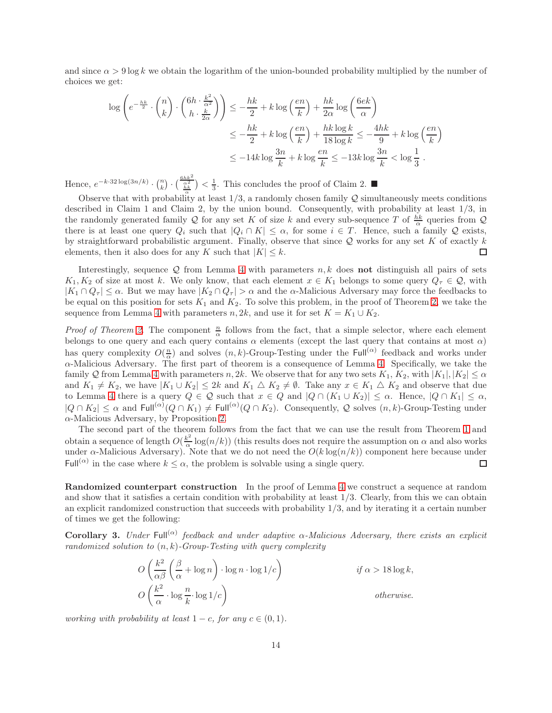and since  $\alpha > 9 \log k$  we obtain the logarithm of the union-bounded probability multiplied by the number of choices we get:

$$
\log \left( e^{-\frac{hk}{2}} \cdot \binom{n}{k} \cdot \binom{6h \cdot \frac{k^2}{\alpha^2}}{h \cdot \frac{k}{2\alpha}} \right) \le -\frac{hk}{2} + k \log \left( \frac{en}{k} \right) + \frac{hk}{2\alpha} \log \left( \frac{6ek}{\alpha} \right)
$$
  

$$
\le -\frac{hk}{2} + k \log \left( \frac{en}{k} \right) + \frac{hk \log k}{18 \log k} \le -\frac{4hk}{9} + k \log \left( \frac{en}{k} \right)
$$
  

$$
\le -14k \log \frac{3n}{k} + k \log \frac{en}{k} \le -13k \log \frac{3n}{k} < \log \frac{1}{3}.
$$

Hence,  $e^{-k \cdot 32 \log(3n/k)} \cdot {n \choose k} \cdot \left(\frac{\frac{6hk^2}{\alpha^2}}{\frac{hk}{\alpha}}\right) < \frac{1}{3}$ . This concludes the proof of Claim 2.

Observe that with probability at least  $1/3$ , a randomly chosen family  $\mathcal Q$  simultaneously meets conditions described in Claim 1 and Claim 2, by the union bound. Consequently, with probability at least 1/3, in the randomly generated family Q for any set K of size k and every sub-sequence T of  $\frac{hk}{\alpha}$  queries from Q there is at least one query  $Q_i$  such that  $|Q_i \cap K| \leq \alpha$ , for some  $i \in T$ . Hence, such a family Q exists, by straightforward probabilistic argument. Finally, observe that since Q works for any set K of exactly k elements, then it also does for any K such that  $|K| \leq k$ . elements, then it also does for any K such that  $|K| \leq k$ .

Interestingly, sequence  $\mathcal Q$  from Lemma [4](#page-12-0) with parameters  $n, k$  does not distinguish all pairs of sets  $K_1, K_2$  of size at most k. We only know, that each element  $x \in K_1$  belongs to some query  $Q_\tau \in \mathcal{Q}$ , with  $|K_1 \cap Q_\tau| \leq \alpha$ . But we may have  $|K_2 \cap Q_\tau| > \alpha$  and the  $\alpha$ -Malicious Adversary may force the feedbacks to be equal on this position for sets  $K_1$  and  $K_2$ . To solve this problem, in the proof of Theorem [2,](#page-5-0) we take the sequence from Lemma [4](#page-12-0) with parameters  $n, 2k$ , and use it for set  $K = K_1 \cup K_2$ .

*Proof of Theorem [2.](#page-5-0)* The component  $\frac{n}{\alpha}$  follows from the fact, that a simple selector, where each element belongs to one query and each query contains  $\alpha$  elements (except the last query that contains at most  $\alpha$ ) has query complexity  $O(\frac{n}{\alpha})$  and solves  $(n, k)$ -Group-Testing under the Full<sup>( $\alpha$ )</sup> feedback and works under α-Malicious Adversary. The first part of theorem is a consequence of Lemma [4.](#page-12-0) Specifically, we take the family Q from Lemma [4](#page-12-0) with parameters  $n, 2k$ . We observe that for any two sets  $K_1, K_2$ , with  $|K_1|, |K_2| \leq \alpha$ and  $K_1 \neq K_2$ , we have  $|K_1 \cup K_2| \leq 2k$  and  $K_1 \triangle K_2 \neq \emptyset$ . Take any  $x \in K_1 \triangle K_2$  and observe that due to Lemma [4](#page-12-0) there is a query  $Q \in \mathcal{Q}$  such that  $x \in Q$  and  $|Q \cap (K_1 \cup K_2)| \leq \alpha$ . Hence,  $|Q \cap K_1| \leq \alpha$ ,  $|Q \cap K_2| \leq \alpha$  and  $\text{Full}^{(\alpha)}(Q \cap K_1) \neq \text{Full}^{(\alpha)}(Q \cap K_2)$ . Consequently, Q solves  $(n, k)$ -Group-Testing under  $\alpha$ -Malicious Adversary, by Proposition [2.](#page-4-3)

The second part of the theorem follows from the fact that we can use the result from Theorem [1](#page-4-2) and obtain a sequence of length  $O(\frac{k^2}{\alpha})$  $\frac{k^2}{\alpha} \log(n/k)$ ) (this results does not require the assumption on  $\alpha$  and also works under  $\alpha$ -Malicious Adversary). Note that we do not need the  $O(k \log(n/k))$  component here because under Full<sup>( $\alpha$ )</sup> in the case where  $k \leq \alpha$ , the problem is solvable using a single query. □

Randomized counterpart construction In the proof of Lemma [4](#page-12-0) we construct a sequence at random and show that it satisfies a certain condition with probability at least 1/3. Clearly, from this we can obtain an explicit randomized construction that succeeds with probability  $1/3$ , and by iterating it a certain number of times we get the following:

**Corollary 3.** Under Full<sup>( $\alpha$ )</sup> feedback and under adaptive  $\alpha$ -Malicious Adversary, there exists an explicit randomized solution to  $(n, k)$ -Group-Testing with query complexity

$$
O\left(\frac{k^2}{\alpha\beta}\left(\frac{\beta}{\alpha} + \log n\right) \cdot \log n \cdot \log 1/c\right) \qquad \text{if } \alpha > 18 \log k,
$$
  

$$
O\left(\frac{k^2}{\alpha} \cdot \log \frac{n}{k} \cdot \log 1/c\right) \qquad \text{otherwise.}
$$

working with probability at least  $1 - c$ , for any  $c \in (0, 1)$ .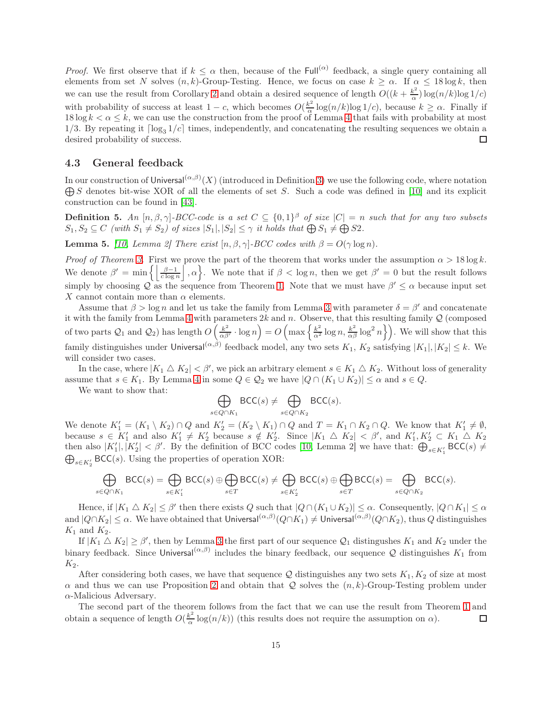*Proof.* We first observe that if  $k \leq \alpha$  then, because of the Full<sup>( $\alpha$ )</sup> feedback, a single query containing all elements from set N solves  $(n, k)$ -Group-Testing. Hence, we focus on case  $k \ge \alpha$ . If  $\alpha \le 18 \log k$ , then we can use the result from Corollary [2](#page-12-1) and obtain a desired sequence of length  $O((k + \frac{k^2}{\alpha}))$  $\frac{k^2}{\alpha}$ ) log(n/k)log 1/c) with probability of success at least  $1 - c$ , which becomes  $O(\frac{k^2}{\alpha})$  $\frac{\varepsilon^2}{\alpha} \log(n/k) \log(1/c)$ , because  $k \geq \alpha$ . Finally if 18 log  $k < \alpha \leq k$ , we can use the construction from the proof of Lemma [4](#page-12-0) that fails with probability at most 1/3. By repeating it  $\lceil \log_3 1/c \rceil$  times, independently, and concatenating the resulting sequences we obtain a desired probability of success. desired probability of success.

#### <span id="page-14-1"></span>4.3 General feedback

In our construction of Universal $(\alpha,\beta)(X)$  (introduced in Definition [3\)](#page-4-1) we use the following code, where notation  $\bigoplus S$  denotes bit-wise XOR of all the elements of set S. Such a code was defined in [\[10\]](#page-19-7) and its explicit construction can be found in [\[43\]](#page-21-9).

<span id="page-14-0"></span>**Definition 5.** An  $[n, \beta, \gamma]$ -BCC-code is a set  $C \subseteq \{0, 1\}^{\beta}$  of size  $|C| = n$  such that for any two subsets  $S_1, S_2 \subseteq C$  (with  $S_1 \neq S_2$ ) of sizes  $|S_1|, |S_2| \leq \gamma$  it holds that  $\bigoplus S_1 \neq \bigoplus S2$ .

**Lemma 5.** [\[10,](#page-19-7) Lemma 2] There exist  $[n, \beta, \gamma]$ -BCC codes with  $\beta = O(\gamma \log n)$ .

*Proof of Theorem [3.](#page-5-2)* First we prove the part of the theorem that works under the assumption  $\alpha > 18 \log k$ . We denote  $\beta' = \min \left\{ \left| \frac{\beta - 1}{c \log n} \right|, \alpha \right\}$ . We note that if  $\beta < \log n$ , then we get  $\beta' = 0$  but the result follows simply by choosing  $Q$  as the sequence from Theorem [1.](#page-4-2) Note that we must have  $\beta' \leq \alpha$  because input set X cannot contain more than  $\alpha$  elements.

Assume that  $\beta > \log n$  and let us take the family from Lemma [3](#page-11-0) with parameter  $\delta = \beta'$  and concatenate it with the family from Lemma [4](#page-12-0) with parameters  $2k$  and n. Observe, that this resulting family  $Q$  (composed of two parts  $\mathcal{Q}_1$  and  $\mathcal{Q}_2$ ) has length  $O\left(\frac{k^2}{\alpha\beta}\right)$  $\left(\frac{k^2}{\alpha\beta'}\cdot \log n\right) = O\left(\max\left\{\frac{k^2}{\alpha^2}\log n,\frac{k^2}{\alpha\beta}\log^2 n\right\}\right)$ . We will show that this family distinguishes under Universal $(\alpha,\beta)$  feedback model, any two sets  $K_1$ ,  $K_2$  satisfying  $|K_1|, |K_2| \leq k$ . We will consider two cases.

In the case, where  $|K_1 \triangle K_2| < \beta'$ , we pick an arbitrary element  $s \in K_1 \triangle K_2$ . Without loss of generality assume that  $s \in K_1$ . By Lemma [4](#page-12-0) in some  $Q \in \mathcal{Q}_2$  we have  $|Q \cap (K_1 \cup K_2)| \leq \alpha$  and  $s \in Q$ .

We want to show that:

$$
\bigoplus_{s \in Q \cap K_1} \mathsf{BCC}(s) \neq \bigoplus_{s \in Q \cap K_2} \mathsf{BCC}(s).
$$

We denote  $K'_1 = (K_1 \setminus K_2) \cap Q$  and  $K'_2 = (K_2 \setminus K_1) \cap Q$  and  $T = K_1 \cap K_2 \cap Q$ . We know that  $K'_1 \neq \emptyset$ , because  $s \in K'_1$  and also  $K'_1 \neq K'_2$  because  $s \notin K'_2$ . Since  $|K_1 \triangle K_2| < \beta'$ , and  $K'_1, K'_2 \subset K_1 \triangle K_2$ then also  $|K'_1|, |K'_2| < \beta'$ . By the definition of BCC codes [\[10,](#page-19-7) Lemma 2] we have that:  $\bigoplus_{s \in K'_1} \text{BCC}(s) \neq$  $\bigoplus_{s\in K_2'}\mathsf{BCC}(s)$ . Using the properties of operation XOR:

$$
\bigoplus_{s\in Q\cap K_1}\mathsf{BCC}(s) = \bigoplus_{s\in K_1'}\mathsf{BCC}(s) \oplus \bigoplus_{s\in T}\mathsf{BCC}(s) \neq \bigoplus_{s\in K_2'}\mathsf{BCC}(s) \oplus \bigoplus_{s\in T}\mathsf{BCC}(s) = \bigoplus_{s\in Q\cap K_2}\mathsf{BCC}(s).
$$

Hence, if  $|K_1 \triangle K_2| \leq \beta'$  then there exists Q such that  $|Q \cap (K_1 \cup K_2)| \leq \alpha$ . Consequently,  $|Q \cap K_1| \leq \alpha$ and  $|Q \cap K_2| \leq \alpha$ . We have obtained that Universal $(\alpha,\beta)(Q \cap K_1) \neq \mathsf{Universal}(\alpha,\beta)(Q \cap K_2)$ , thus  $Q$  distinguishes  $K_1$  and  $K_2$ .

If  $|K_1 \triangle K_2| \ge \beta'$ , then by Lemma [3](#page-11-0) the first part of our sequence  $\mathcal{Q}_1$  distingushes  $K_1$  and  $K_2$  under the binary feedback. Since Universal $(\alpha,\beta)$  includes the binary feedback, our sequence Q distinguishes  $K_1$  from  $K_2$ .

After considering both cases, we have that sequence  $\mathcal Q$  distinguishes any two sets  $K_1, K_2$  of size at most  $\alpha$  and thus we can use Proposition [2](#page-4-3) and obtain that Q solves the  $(n, k)$ -Group-Testing problem under  $\alpha$ -Malicious Adversary.

The second part of the theorem follows from the fact that we can use the result from Theorem [1](#page-4-2) and obtain a sequence of length  $O(\frac{k^2}{\alpha})$  $\frac{k^2}{\alpha} \log(n/k)$  (this results does not require the assumption on  $\alpha$ ). □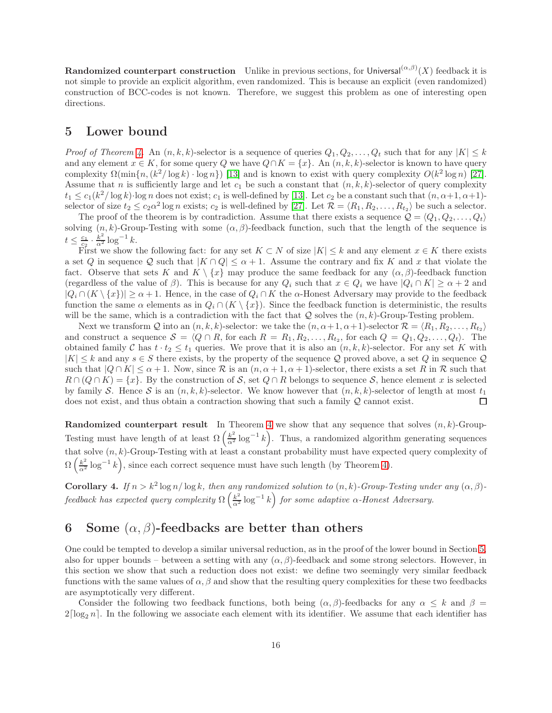**Randomized counterpart construction** Unlike in previous sections, for Universal $(\alpha,\beta)(X)$  feedback it is not simple to provide an explicit algorithm, even randomized. This is because an explicit (even randomized) construction of BCC-codes is not known. Therefore, we suggest this problem as one of interesting open directions.

### <span id="page-15-0"></span>5 Lower bound

Proof of Theorem [4.](#page-5-1) An  $(n, k, k)$ -selector is a sequence of queries  $Q_1, Q_2, \ldots, Q_t$  such that for any  $|K| \leq k$ and any element  $x \in K$ , for some query Q we have  $Q \cap K = \{x\}$ . An  $(n, k, k)$ -selector is known to have query complexity  $\Omega(\min\{n, (k^2/\log k) \cdot \log n\})$  [\[13\]](#page-19-12) and is known to exist with query complexity  $O(k^2 \log n)$  [\[27\]](#page-20-15). Assume that n is sufficiently large and let  $c_1$  be such a constant that  $(n, k, k)$ -selector of query complexity  $t_1 \leq c_1(k^2/\log k) \cdot \log n$  does not exist;  $c_1$  is well-defined by [\[13\]](#page-19-12). Let  $c_2$  be a constant such that  $(n, \alpha+1, \alpha+1)$ selector of size  $t_2 \le c_2 \alpha^2 \log n$  exists;  $c_2$  is well-defined by [\[27\]](#page-20-15). Let  $\mathcal{R} = \langle R_1, R_2, \ldots, R_{t_2} \rangle$  be such a selector.

The proof of the theorem is by contradiction. Assume that there exists a sequence  $\mathcal{Q} = \langle Q_1, Q_2, \ldots, Q_t \rangle$ solving  $(n, k)$ -Group-Testing with some  $(\alpha, \beta)$ -feedback function, such that the length of the sequence is  $t \leq \frac{c_1}{c_2} \cdot \frac{k^2}{\alpha^2} \log^{-1} k.$ 

First we show the following fact: for any set  $K \subset N$  of size  $|K| \leq k$  and any element  $x \in K$  there exists a set Q in sequence Q such that  $|K \cap Q| \le \alpha + 1$ . Assume the contrary and fix K and x that violate the fact. Observe that sets K and  $K \setminus \{x\}$  may produce the same feedback for any  $(\alpha, \beta)$ -feedback function (regardless of the value of  $\beta$ ). This is because for any  $Q_i$  such that  $x \in Q_i$  we have  $|Q_i \cap K| \ge \alpha + 2$  and  $|Q_i \cap (K \setminus \{x\})| \ge \alpha + 1$ . Hence, in the case of  $Q_i \cap K$  the  $\alpha$ -Honest Adversary may provide to the feedback function the same  $\alpha$  elements as in  $Q_i \cap (K \setminus \{x\})$ . Since the feedback function is deterministic, the results will be the same, which is a contradiction with the fact that  $Q$  solves the  $(n, k)$ -Group-Testing problem.

Next we transform Q into an  $(n, k, k)$ -selector: we take the  $(n, \alpha+1, \alpha+1)$ -selector  $\mathcal{R} = \langle R_1, R_2, \ldots, R_{t_2} \rangle$ and construct a sequence  $S = \langle Q \cap R$ , for each  $R = R_1, R_2, \ldots, R_{t_2}$ , for each  $Q = Q_1, Q_2, \ldots, Q_t$ . The obtained family C has  $t \cdot t_2 \leq t_1$  queries. We prove that it is also an  $(n, k, k)$ -selector. For any set K with  $|K| \leq k$  and any  $s \in S$  there exists, by the property of the sequence Q proved above, a set Q in sequence Q such that  $|Q \cap K| \leq \alpha + 1$ . Now, since R is an  $(n, \alpha + 1, \alpha + 1)$ -selector, there exists a set R in R such that  $R \cap (Q \cap K) = \{x\}.$  By the construction of S, set  $Q \cap R$  belongs to sequence S, hence element x is selected by family S. Hence S is an  $(n, k, k)$ -selector. We know however that  $(n, k, k)$ -selector of length at most  $t_1$  does not exist, and thus obtain a contraction showing that such a family Q cannot exist. does not exist, and thus obtain a contraction showing that such a family Q cannot exist.

**Randomized counterpart result** In Theorem [4](#page-5-1) we show that any sequence that solves  $(n, k)$ -Group-Testing must have length of at least  $\Omega\left(\frac{k^2}{\alpha^2}\log^{-1}k\right)$ . Thus, a randomized algorithm generating sequences that solve  $(n, k)$ -Group-Testing with at least a constant probability must have expected query complexity of  $\Omega\left(\frac{k^2}{\alpha^2}\log^{-1}k\right)$ , since each correct sequence must have such length (by Theorem [4\)](#page-5-1).

**Corollary 4.** If  $n > k^2 \log n / \log k$ , then any randomized solution to  $(n, k)$ -Group-Testing under any  $(\alpha, \beta)$ feedback has expected query complexity  $\Omega\left(\frac{k^2}{\alpha^2}\log^{-1}k\right)$  for some adaptive  $\alpha$ -Honest Adversary.

# <span id="page-15-1"></span>6 Some  $(\alpha, \beta)$ -feedbacks are better than others

One could be tempted to develop a similar universal reduction, as in the proof of the lower bound in Section [5,](#page-15-0) also for upper bounds – between a setting with any  $(\alpha, \beta)$ -feedback and some strong selectors. However, in this section we show that such a reduction does not exist: we define two seemingly very similar feedback functions with the same values of  $\alpha$ ,  $\beta$  and show that the resulting query complexities for these two feedbacks are asymptotically very different.

Consider the following two feedback functions, both being  $(\alpha, \beta)$ -feedbacks for any  $\alpha \leq k$  and  $\beta =$  $2\lceil \log_2 n \rceil$ . In the following we associate each element with its identifier. We assume that each identifier has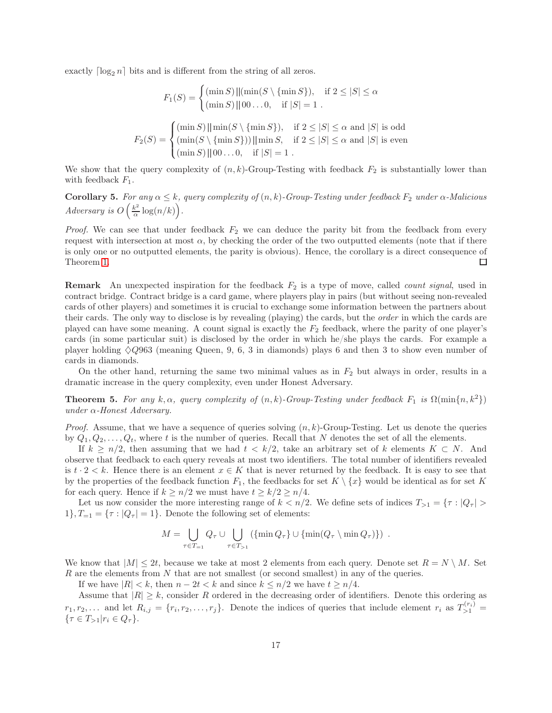exactly  $\lceil \log_2 n \rceil$  bits and is different from the string of all zeros.

$$
F_1(S) = \begin{cases} (\min S) ||(\min(S \setminus \{\min S\}), & \text{if } 2 \le |S| \le \alpha \\ (\min S) || 00...0, & \text{if } |S| = 1 \end{cases}
$$

$$
F_2(S) = \begin{cases} (\min S) ||\min(S \setminus \{\min S\}), & \text{if } 2 \le |S| \le \alpha \text{ and } |S| \text{ is odd} \\ (\min(S \setminus \{\min S\})) ||\min S, & \text{if } 2 \le |S| \le \alpha \text{ and } |S| \text{ is even} \\ (\min S) || 00...0, & \text{if } |S| = 1 \end{cases}
$$

We show that the query complexity of  $(n, k)$ -Group-Testing with feedback  $F_2$  is substantially lower than with feedback  $F_1$ .

<span id="page-16-1"></span>**Corollary 5.** For any  $\alpha \leq k$ , query complexity of  $(n, k)$ -Group-Testing under feedback  $F_2$  under  $\alpha$ -Malicious Adversary is  $O\left(\frac{k^2}{\alpha}\right)$  $\frac{k^2}{\alpha} \log(n/k)$ .

*Proof.* We can see that under feedback  $F_2$  we can deduce the parity bit from the feedback from every request with intersection at most  $\alpha$ , by checking the order of the two outputted elements (note that if there is only one or no outputted elements, the parity is obvious). Hence, the corollary is a direct consequence of Theorem [1.](#page-4-2)  $\Box$ 

**Remark** An unexpected inspiration for the feedback  $F_2$  is a type of move, called *count signal*, used in contract bridge. Contract bridge is a card game, where players play in pairs (but without seeing non-revealed cards of other players) and sometimes it is crucial to exchange some information between the partners about their cards. The only way to disclose is by revealing (playing) the cards, but the order in which the cards are played can have some meaning. A count signal is exactly the  $F_2$  feedback, where the parity of one player's cards (in some particular suit) is disclosed by the order in which he/she plays the cards. For example a player holding  $\Diamond Q963$  (meaning Queen, 9, 6, 3 in diamonds) plays 6 and then 3 to show even number of cards in diamonds.

On the other hand, returning the same two minimal values as in  $F_2$  but always in order, results in a dramatic increase in the query complexity, even under Honest Adversary.

<span id="page-16-0"></span>**Theorem 5.** For any k,  $\alpha$ , query complexity of  $(n, k)$ -Group-Testing under feedback  $F_1$  is  $\Omega(\min\{n, k^2\})$ under  $\alpha$ -Honest Adversary.

*Proof.* Assume, that we have a sequence of queries solving  $(n, k)$ -Group-Testing. Let us denote the queries by  $Q_1, Q_2, \ldots, Q_t$ , where t is the number of queries. Recall that N denotes the set of all the elements.

If  $k \geq n/2$ , then assuming that we had  $t < k/2$ , take an arbitrary set of k elements  $K \subset N$ . And observe that feedback to each query reveals at most two identifiers. The total number of identifiers revealed is  $t \cdot 2 < k$ . Hence there is an element  $x \in K$  that is never returned by the feedback. It is easy to see that by the properties of the feedback function  $F_1$ , the feedbacks for set  $K \setminus \{x\}$  would be identical as for set K for each query. Hence if  $k \geq n/2$  we must have  $t \geq k/2 \geq n/4$ .

Let us now consider the more interesting range of  $k < n/2$ . We define sets of indices  $T_{>1} = \{\tau : |Q_\tau| > \tau\}$  $1$ ,  $T_{-1} = \{\tau : |Q_{\tau}| = 1\}$ . Denote the following set of elements:

$$
M = \bigcup_{\tau \in T_{-1}} Q_{\tau} \cup \bigcup_{\tau \in T_{>1}} (\{\min Q_{\tau}\} \cup \{\min(Q_{\tau} \setminus \min Q_{\tau})\}) .
$$

We know that  $|M| \leq 2t$ , because we take at most 2 elements from each query. Denote set  $R = N \setminus M$ . Set R are the elements from N that are not smallest (or second smallest) in any of the queries.

If we have  $|R| < k$ , then  $n - 2t < k$  and since  $k \leq n/2$  we have  $t \geq n/4$ .

Assume that  $|R| \geq k$ , consider R ordered in the decreasing order of identifiers. Denote this ordering as  $r_1, r_2, \ldots$  and let  $R_{i,j} = \{r_i, r_2, \ldots, r_j\}$ . Denote the indices of queries that include element  $r_i$  as  $T_{>1}^{(r_i)}$  $\{\tau \in T_{>1}| r_i \in Q_{\tau}\}.$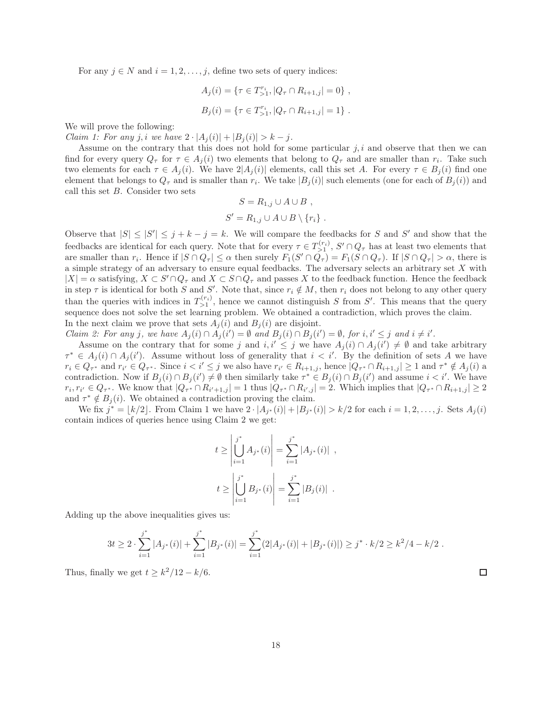For any  $j \in N$  and  $i = 1, 2, \ldots, j$ , define two sets of query indices:

$$
A_j(i) = \{ \tau \in T_{>1}^{r_i}, |Q_\tau \cap R_{i+1,j}| = 0 \},\,
$$
  

$$
B_j(i) = \{ \tau \in T_{>1}^{r_i}, |Q_\tau \cap R_{i+1,j}| = 1 \}.
$$

We will prove the following:

*Claim 1: For any j, i we have*  $2 \cdot |A_j(i)| + |B_j(i)| > k - j$ .

Assume on the contrary that this does not hold for some particular  $j, i$  and observe that then we can find for every query  $Q_{\tau}$  for  $\tau \in A_j(i)$  two elements that belong to  $Q_{\tau}$  and are smaller than  $r_i$ . Take such two elements for each  $\tau \in A_i(i)$ . We have  $2|A_i(i)|$  elements, call this set A. For every  $\tau \in B_i(i)$  find one element that belongs to  $Q_{\tau}$  and is smaller than  $r_i$ . We take  $|B_j(i)|$  such elements (one for each of  $B_j(i)$ ) and call this set B. Consider two sets

$$
S = R_{1,j} \cup A \cup B ,
$$
  

$$
S' = R_{1,j} \cup A \cup B \setminus \{r_i\} .
$$

Observe that  $|S| \leq |S'| \leq j + k - j = k$ . We will compare the feedbacks for S and S' and show that the feedbacks are identical for each query. Note that for every  $\tau \in T_{\geq 1}^{(r_i)}$ ,  $S' \cap Q_{\tau}$  has at least two elements that are smaller than  $r_i$ . Hence if  $|S \cap Q_{\tau}| \leq \alpha$  then surely  $F_1(S' \cap Q_{\tau}) = F_1(S \cap Q_{\tau})$ . If  $|S \cap Q_{\tau}| > \alpha$ , there is a simple strategy of an adversary to ensure equal feedbacks. The adversary selects an arbitrary set  $X$  with  $|X| = \alpha$  satisfying,  $X \subset S' \cap Q_{\tau}$  and  $X \subset S \cap Q_{\tau}$  and passes X to the feedback function. Hence the feedback in step  $\tau$  is identical for both S and S'. Note that, since  $r_i \notin M$ , then  $r_i$  does not belong to any other query than the queries with indices in  $T_{>1}^{(r_i)}$ , hence we cannot distinguish S from S'. This means that the query sequence does not solve the set learning problem. We obtained a contradiction, which proves the claim. In the next claim we prove that sets  $A_i(i)$  and  $B_i(i)$  are disjoint.

Claim 2: For any j, we have  $A_j(i) \cap A_j(i') = \emptyset$  and  $B_j(i) \cap B_j(i') = \emptyset$ , for  $i, i' \leq j$  and  $i \neq i'$ .

Assume on the contrary that for some j and  $i, i' \leq j$  we have  $A_j(i) \cap A_j(i') \neq \emptyset$  and take arbitrary  $\tau^* \in A_j(i) \cap A_j(i')$ . Assume without loss of generality that  $i < i'$ . By the definition of sets A we have  $r_i \in Q_{\tau^*}$  and  $r_{i'} \in Q_{\tau^*}$ . Since  $i < i' \le j$  we also have  $r_{i'} \in R_{i+1,j}$ , hence  $|Q_{\tau^*} \cap R_{i+1,j}| \ge 1$  and  $\tau^* \notin A_j(i)$  a contradiction. Now if  $B_j(i) \cap B_j(i') \neq \emptyset$  then similarly take  $\tau^* \in B_j(i) \cap B_j(i')$  and assume  $i < i'$ . We have  $r_i, r_{i'} \in Q_{\tau^*}$ . We know that  $|Q_{\tau^*} \cap R_{i'+1,j}| = 1$  thus  $|Q_{\tau^*} \cap R_{i',j}| = 2$ . Which implies that  $|Q_{\tau^*} \cap R_{i+1,j}| \ge 2$ and  $\tau^* \notin B_j(i)$ . We obtained a contradiction proving the claim.

We fix  $j^* = \lfloor k/2 \rfloor$ . From Claim 1 we have  $2 \cdot |A_{j^*}(i)| + |B_{j^*}(i)| > k/2$  for each  $i = 1, 2, ..., j$ . Sets  $A_j(i)$ contain indices of queries hence using Claim 2 we get:

$$
t \ge \left| \bigcup_{i=1}^{j^*} A_{j^*}(i) \right| = \sum_{i=1}^{j^*} |A_{j^*}(i)| ,
$$
  

$$
t \ge \left| \bigcup_{i=1}^{j^*} B_{j^*}(i) \right| = \sum_{i=1}^{j^*} |B_j(i)| .
$$

Adding up the above inequalities gives us:

$$
3t \ge 2 \cdot \sum_{i=1}^{j^*} |A_{j^*}(i)| + \sum_{i=1}^{j^*} |B_{j^*}(i)| = \sum_{i=1}^{j^*} (2|A_{j^*}(i)| + |B_{j^*}(i)|) \ge j^* \cdot k/2 \ge k^2/4 - k/2.
$$

Thus, finally we get  $t \geq k^2/12 - k/6$ .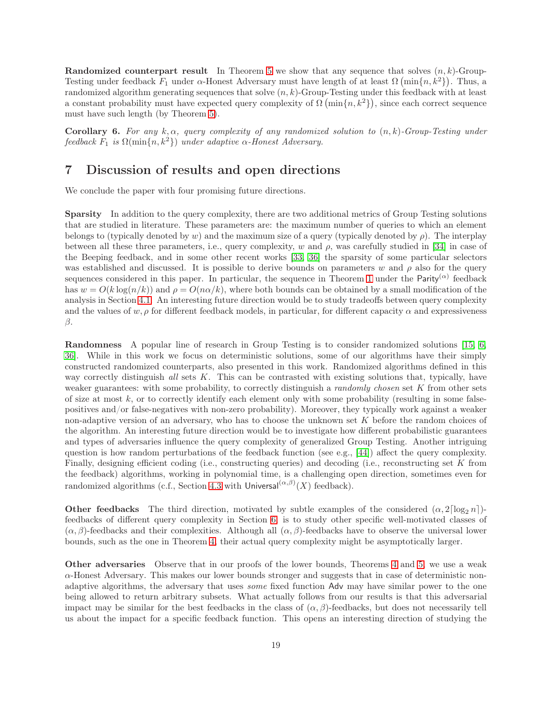**Randomized counterpart result** In Theorem [5](#page-16-0) we show that any sequence that solves  $(n, k)$ -Group-Testing under feedback  $F_1$  under  $\alpha$ -Honest Adversary must have length of at least  $\Omega\left(\min\{n, k^2\}\right)$ . Thus, a randomized algorithm generating sequences that solve  $(n, k)$ -Group-Testing under this feedback with at least a constant probability must have expected query complexity of  $\Omega(\min\{n,k^2\})$ , since each correct sequence must have such length (by Theorem [5\)](#page-16-0).

**Corollary 6.** For any k,  $\alpha$ , query complexity of any randomized solution to  $(n, k)$ -Group-Testing under feedback  $F_1$  is  $\Omega(\min\{n, k^2\})$  under adaptive  $\alpha$ -Honest Adversary.

# <span id="page-18-0"></span>7 Discussion of results and open directions

We conclude the paper with four promising future directions.

Sparsity In addition to the query complexity, there are two additional metrics of Group Testing solutions that are studied in literature. These parameters are: the maximum number of queries to which an element belongs to (typically denoted by w) and the maximum size of a query (typically denoted by  $\rho$ ). The interplay between all these three parameters, i.e., query complexity, w and  $\rho$ , was carefully studied in [\[34\]](#page-21-7) in case of the Beeping feedback, and in some other recent works [\[33,](#page-20-16) [36\]](#page-21-10) the sparsity of some particular selectors was established and discussed. It is possible to derive bounds on parameters w and  $\rho$  also for the query sequences considered in this paper. In particular, the sequence in Theorem [1](#page-4-2) under the Parity<sup>( $\alpha$ )</sup> feedback has  $w = O(k \log(n/k))$  and  $\rho = O(n\alpha/k)$ , where both bounds can be obtained by a small modification of the analysis in Section [4.1.](#page-8-4) An interesting future direction would be to study tradeoffs between query complexity and the values of  $w, \rho$  for different feedback models, in particular, for different capacity  $\alpha$  and expressiveness β.

Randomness A popular line of research in Group Testing is to consider randomized solutions [\[15,](#page-19-11) [6,](#page-19-15) [36\]](#page-21-10). While in this work we focus on deterministic solutions, some of our algorithms have their simply constructed randomized counterparts, also presented in this work. Randomized algorithms defined in this way correctly distinguish all sets  $K$ . This can be contrasted with existing solutions that, typically, have weaker guarantees: with some probability, to correctly distinguish a *randomly chosen* set K from other sets of size at most k, or to correctly identify each element only with some probability (resulting in some falsepositives and/or false-negatives with non-zero probability). Moreover, they typically work against a weaker non-adaptive version of an adversary, who has to choose the unknown set K before the random choices of the algorithm. An interesting future direction would be to investigate how different probabilistic guarantees and types of adversaries influence the query complexity of generalized Group Testing. Another intriguing question is how random perturbations of the feedback function (see e.g., [\[44\]](#page-21-11)) affect the query complexity. Finally, designing efficient coding (i.e., constructing queries) and decoding (i.e., reconstructing set K from the feedback) algorithms, working in polynomial time, is a challenging open direction, sometimes even for randomized algorithms (c.f., Section [4.3](#page-14-1) with Universal $(\alpha,\beta)(X)$  feedback).

**Other feedbacks** The third direction, motivated by subtle examples of the considered  $(\alpha, 2\lceil \log_2 n \rceil)$ feedbacks of different query complexity in Section [6,](#page-15-1) is to study other specific well-motivated classes of  $(\alpha, \beta)$ -feedbacks and their complexities. Although all  $(\alpha, \beta)$ -feedbacks have to observe the universal lower bounds, such as the one in Theorem [4,](#page-5-1) their actual query complexity might be asymptotically larger.

Other adversaries Observe that in our proofs of the lower bounds, Theorems [4](#page-5-1) and [5,](#page-16-0) we use a weak  $\alpha$ -Honest Adversary. This makes our lower bounds stronger and suggests that in case of deterministic nonadaptive algorithms, the adversary that uses some fixed function Adv may have similar power to the one being allowed to return arbitrary subsets. What actually follows from our results is that this adversarial impact may be similar for the best feedbacks in the class of  $(\alpha, \beta)$ -feedbacks, but does not necessarily tell us about the impact for a specific feedback function. This opens an interesting direction of studying the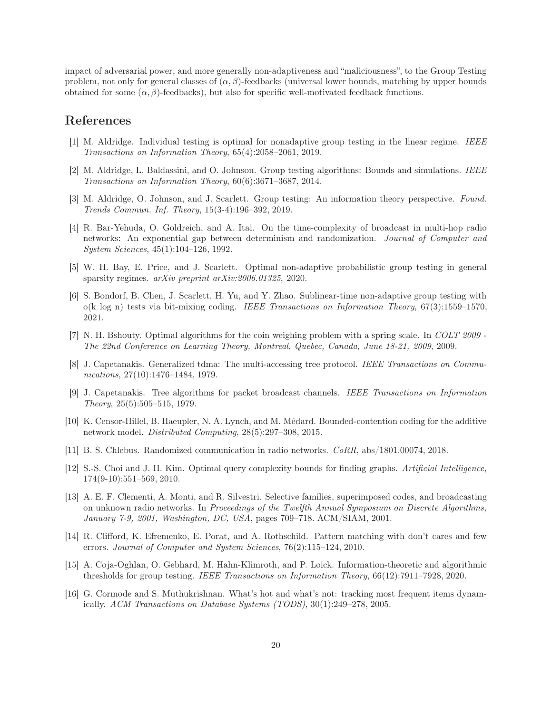impact of adversarial power, and more generally non-adaptiveness and "maliciousness", to the Group Testing problem, not only for general classes of  $(\alpha, \beta)$ -feedbacks (universal lower bounds, matching by upper bounds obtained for some  $(\alpha, \beta)$ -feedbacks), but also for specific well-motivated feedback functions.

## <span id="page-19-14"></span>References

- <span id="page-19-0"></span>[1] M. Aldridge. Individual testing is optimal for nonadaptive group testing in the linear regime. IEEE Transactions on Information Theory, 65(4):2058–2061, 2019.
- <span id="page-19-10"></span>[2] M. Aldridge, L. Baldassini, and O. Johnson. Group testing algorithms: Bounds and simulations. IEEE Transactions on Information Theory, 60(6):3671–3687, 2014.
- [3] M. Aldridge, O. Johnson, and J. Scarlett. Group testing: An information theory perspective. Found. Trends Commun. Inf. Theory, 15(3-4):196–392, 2019.
- <span id="page-19-9"></span>[4] R. Bar-Yehuda, O. Goldreich, and A. Itai. On the time-complexity of broadcast in multi-hop radio networks: An exponential gap between determinism and randomization. Journal of Computer and System Sciences, 45(1):104–126, 1992.
- <span id="page-19-13"></span>[5] W. H. Bay, E. Price, and J. Scarlett. Optimal non-adaptive probabilistic group testing in general sparsity regimes. arXiv preprint arXiv:2006.01325, 2020.
- <span id="page-19-15"></span>[6] S. Bondorf, B. Chen, J. Scarlett, H. Yu, and Y. Zhao. Sublinear-time non-adaptive group testing with o(k log n) tests via bit-mixing coding. IEEE Transactions on Information Theory, 67(3):1559–1570, 2021.
- <span id="page-19-8"></span>[7] N. H. Bshouty. Optimal algorithms for the coin weighing problem with a spring scale. In COLT 2009 -The 22nd Conference on Learning Theory, Montreal, Quebec, Canada, June 18-21, 2009, 2009.
- <span id="page-19-4"></span>[8] J. Capetanakis. Generalized tdma: The multi-accessing tree protocol. IEEE Transactions on Communications, 27(10):1476–1484, 1979.
- <span id="page-19-5"></span>[9] J. Capetanakis. Tree algorithms for packet broadcast channels. IEEE Transactions on Information Theory, 25(5):505–515, 1979.
- <span id="page-19-7"></span>[10] K. Censor-Hillel, B. Haeupler, N. A. Lynch, and M. Médard. Bounded-contention coding for the additive network model. Distributed Computing, 28(5):297–308, 2015.
- <span id="page-19-6"></span><span id="page-19-3"></span>[11] B. S. Chlebus. Randomized communication in radio networks. CoRR, abs/1801.00074, 2018.
- [12] S.-S. Choi and J. H. Kim. Optimal query complexity bounds for finding graphs. Artificial Intelligence, 174(9-10):551–569, 2010.
- <span id="page-19-12"></span>[13] A. E. F. Clementi, A. Monti, and R. Silvestri. Selective families, superimposed codes, and broadcasting on unknown radio networks. In Proceedings of the Twelfth Annual Symposium on Discrete Algorithms, January 7-9, 2001, Washington, DC, USA, pages 709–718. ACM/SIAM, 2001.
- <span id="page-19-1"></span>[14] R. Clifford, K. Efremenko, E. Porat, and A. Rothschild. Pattern matching with don't cares and few errors. Journal of Computer and System Sciences, 76(2):115–124, 2010.
- <span id="page-19-11"></span>[15] A. Coja-Oghlan, O. Gebhard, M. Hahn-Klimroth, and P. Loick. Information-theoretic and algorithmic thresholds for group testing. IEEE Transactions on Information Theory, 66(12):7911–7928, 2020.
- <span id="page-19-2"></span>[16] G. Cormode and S. Muthukrishnan. What's hot and what's not: tracking most frequent items dynamically. ACM Transactions on Database Systems (TODS), 30(1):249–278, 2005.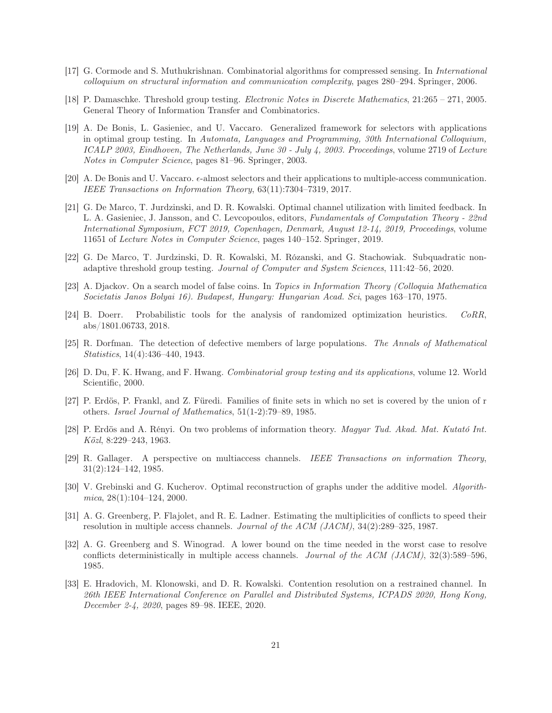- <span id="page-20-13"></span><span id="page-20-3"></span>[17] G. Cormode and S. Muthukrishnan. Combinatorial algorithms for compressed sensing. In International colloquium on structural information and communication complexity, pages 280–294. Springer, 2006.
- <span id="page-20-10"></span>[18] P. Damaschke. Threshold group testing. Electronic Notes in Discrete Mathematics, 21:265 – 271, 2005. General Theory of Information Transfer and Combinatorics.
- [19] A. De Bonis, L. Gasieniec, and U. Vaccaro. Generalized framework for selectors with applications in optimal group testing. In Automata, Languages and Programming, 30th International Colloquium, ICALP 2003, Eindhoven, The Netherlands, June 30 - July 4, 2003. Proceedings, volume 2719 of Lecture Notes in Computer Science, pages 81–96. Springer, 2003.
- <span id="page-20-12"></span>[20] A. De Bonis and U. Vaccaro.  $\epsilon$ -almost selectors and their applications to multiple-access communication. IEEE Transactions on Information Theory, 63(11):7304–7319, 2017.
- <span id="page-20-8"></span>[21] G. De Marco, T. Jurdzinski, and D. R. Kowalski. Optimal channel utilization with limited feedback. In L. A. Gasieniec, J. Jansson, and C. Levcopoulos, editors, Fundamentals of Computation Theory - 22nd International Symposium, FCT 2019, Copenhagen, Denmark, August 12-14, 2019, Proceedings, volume 11651 of Lecture Notes in Computer Science, pages 140–152. Springer, 2019.
- <span id="page-20-11"></span><span id="page-20-7"></span>[22] G. De Marco, T. Jurdzinski, D. R. Kowalski, M. Rózanski, and G. Stachowiak. Subquadratic nonadaptive threshold group testing. Journal of Computer and System Sciences, 111:42–56, 2020.
- <span id="page-20-14"></span>[23] A. Djackov. On a search model of false coins. In Topics in Information Theory (Colloquia Mathematica Societatis Janos Bolyai 16). Budapest, Hungary: Hungarian Acad. Sci, pages 163–170, 1975.
- [24] B. Doerr. Probabilistic tools for the analysis of randomized optimization heuristics. CoRR, abs/1801.06733, 2018.
- <span id="page-20-1"></span><span id="page-20-0"></span>[25] R. Dorfman. The detection of defective members of large populations. The Annals of Mathematical Statistics, 14(4):436–440, 1943.
- [26] D. Du, F. K. Hwang, and F. Hwang. Combinatorial group testing and its applications, volume 12. World Scientific, 2000.
- <span id="page-20-15"></span>[27] P. Erdös, P. Frankl, and Z. Füredi. Families of finite sets in which no set is covered by the union of r others. Israel Journal of Mathematics, 51(1-2):79–89, 1985.
- <span id="page-20-9"></span>[28] P. Erdös and A. Rényi. On two problems of information theory. Magyar Tud. Akad. Mat. Kutató Int. Közl, 8:229–243, 1963.
- <span id="page-20-2"></span>[29] R. Gallager. A perspective on multiaccess channels. IEEE Transactions on information Theory, 31(2):124–142, 1985.
- <span id="page-20-4"></span>[30] V. Grebinski and G. Kucherov. Optimal reconstruction of graphs under the additive model. Algorith $mica, 28(1):104–124, 2000.$
- <span id="page-20-5"></span>[31] A. G. Greenberg, P. Flajolet, and R. E. Ladner. Estimating the multiplicities of conflicts to speed their resolution in multiple access channels. Journal of the ACM (JACM), 34(2):289–325, 1987.
- <span id="page-20-6"></span>[32] A. G. Greenberg and S. Winograd. A lower bound on the time needed in the worst case to resolve conflicts deterministically in multiple access channels. Journal of the ACM (JACM),  $32(3):589-596$ . 1985.
- <span id="page-20-16"></span>[33] E. Hradovich, M. Klonowski, and D. R. Kowalski. Contention resolution on a restrained channel. In 26th IEEE International Conference on Parallel and Distributed Systems, ICPADS 2020, Hong Kong, December 2-4, 2020, pages 89–98. IEEE, 2020.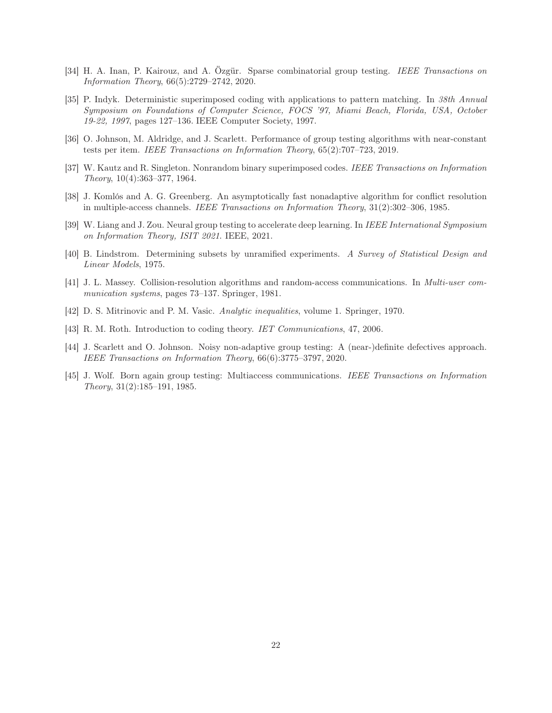- <span id="page-21-7"></span>[34] H. A. Inan, P. Kairouz, and A. Özgür. Sparse combinatorial group testing. IEEE Transactions on Information Theory, 66(5):2729–2742, 2020.
- <span id="page-21-0"></span>[35] P. Indyk. Deterministic superimposed coding with applications to pattern matching. In 38th Annual Symposium on Foundations of Computer Science, FOCS '97, Miami Beach, Florida, USA, October 19-22, 1997, pages 127–136. IEEE Computer Society, 1997.
- <span id="page-21-10"></span>[36] O. Johnson, M. Aldridge, and J. Scarlett. Performance of group testing algorithms with near-constant tests per item. IEEE Transactions on Information Theory, 65(2):707–723, 2019.
- <span id="page-21-5"></span><span id="page-21-2"></span>[37] W. Kautz and R. Singleton. Nonrandom binary superimposed codes. IEEE Transactions on Information Theory, 10(4):363–377, 1964.
- [38] J. Komlós and A. G. Greenberg. An asymptotically fast nonadaptive algorithm for conflict resolution in multiple-access channels. IEEE Transactions on Information Theory, 31(2):302–306, 1985.
- <span id="page-21-6"></span><span id="page-21-1"></span>[39] W. Liang and J. Zou. Neural group testing to accelerate deep learning. In IEEE International Symposium on Information Theory, ISIT 2021. IEEE, 2021.
- <span id="page-21-3"></span>[40] B. Lindstrom. Determining subsets by unramified experiments. A Survey of Statistical Design and Linear Models, 1975.
- [41] J. L. Massey. Collision-resolution algorithms and random-access communications. In Multi-user communication systems, pages 73–137. Springer, 1981.
- <span id="page-21-9"></span><span id="page-21-8"></span>[42] D. S. Mitrinovic and P. M. Vasic. Analytic inequalities, volume 1. Springer, 1970.
- <span id="page-21-11"></span>[43] R. M. Roth. Introduction to coding theory. IET Communications, 47, 2006.
- [44] J. Scarlett and O. Johnson. Noisy non-adaptive group testing: A (near-)definite defectives approach. IEEE Transactions on Information Theory, 66(6):3775–3797, 2020.
- <span id="page-21-4"></span>[45] J. Wolf. Born again group testing: Multiaccess communications. IEEE Transactions on Information Theory, 31(2):185–191, 1985.